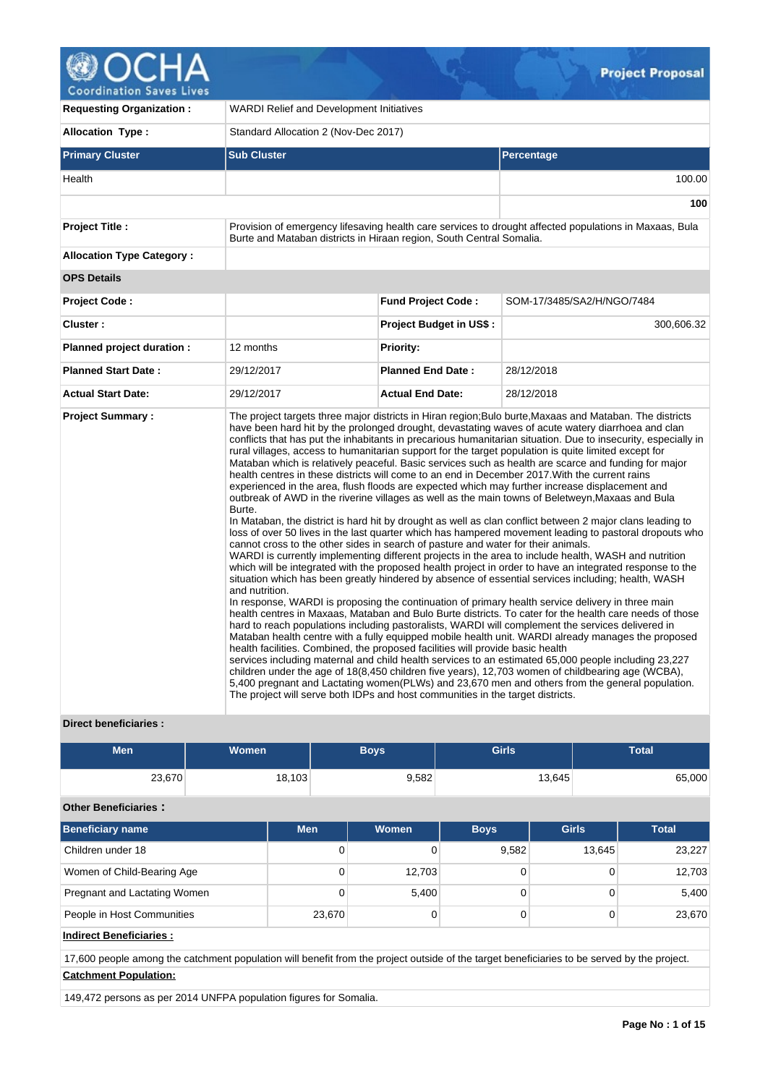# Д

**Coordination Saves Lives** 

| <b>Requesting Organization:</b>  | <b>WARDI Relief and Development Initiatives</b>                                                                                                                                                                                                                                   |                                |                                                                                                                                                                                                                                                                                                                                                                                                                                                                                                                                                                                                                                                                                                                                                                                                                                                                                                                                                                                                                                                                                                                                                                                                                                                                                                                                                                                                                                                                                                                                                                                                                                                                                                                                                                                                                                                                                                                                                                                                                                                                                                                                                     |  |  |  |  |
|----------------------------------|-----------------------------------------------------------------------------------------------------------------------------------------------------------------------------------------------------------------------------------------------------------------------------------|--------------------------------|-----------------------------------------------------------------------------------------------------------------------------------------------------------------------------------------------------------------------------------------------------------------------------------------------------------------------------------------------------------------------------------------------------------------------------------------------------------------------------------------------------------------------------------------------------------------------------------------------------------------------------------------------------------------------------------------------------------------------------------------------------------------------------------------------------------------------------------------------------------------------------------------------------------------------------------------------------------------------------------------------------------------------------------------------------------------------------------------------------------------------------------------------------------------------------------------------------------------------------------------------------------------------------------------------------------------------------------------------------------------------------------------------------------------------------------------------------------------------------------------------------------------------------------------------------------------------------------------------------------------------------------------------------------------------------------------------------------------------------------------------------------------------------------------------------------------------------------------------------------------------------------------------------------------------------------------------------------------------------------------------------------------------------------------------------------------------------------------------------------------------------------------------------|--|--|--|--|
| <b>Allocation Type:</b>          | Standard Allocation 2 (Nov-Dec 2017)                                                                                                                                                                                                                                              |                                |                                                                                                                                                                                                                                                                                                                                                                                                                                                                                                                                                                                                                                                                                                                                                                                                                                                                                                                                                                                                                                                                                                                                                                                                                                                                                                                                                                                                                                                                                                                                                                                                                                                                                                                                                                                                                                                                                                                                                                                                                                                                                                                                                     |  |  |  |  |
| <b>Primary Cluster</b>           | <b>Sub Cluster</b>                                                                                                                                                                                                                                                                |                                | <b>Percentage</b>                                                                                                                                                                                                                                                                                                                                                                                                                                                                                                                                                                                                                                                                                                                                                                                                                                                                                                                                                                                                                                                                                                                                                                                                                                                                                                                                                                                                                                                                                                                                                                                                                                                                                                                                                                                                                                                                                                                                                                                                                                                                                                                                   |  |  |  |  |
| Health                           |                                                                                                                                                                                                                                                                                   |                                | 100.00                                                                                                                                                                                                                                                                                                                                                                                                                                                                                                                                                                                                                                                                                                                                                                                                                                                                                                                                                                                                                                                                                                                                                                                                                                                                                                                                                                                                                                                                                                                                                                                                                                                                                                                                                                                                                                                                                                                                                                                                                                                                                                                                              |  |  |  |  |
|                                  |                                                                                                                                                                                                                                                                                   |                                | 100                                                                                                                                                                                                                                                                                                                                                                                                                                                                                                                                                                                                                                                                                                                                                                                                                                                                                                                                                                                                                                                                                                                                                                                                                                                                                                                                                                                                                                                                                                                                                                                                                                                                                                                                                                                                                                                                                                                                                                                                                                                                                                                                                 |  |  |  |  |
| <b>Project Title:</b>            | Burte and Mataban districts in Hiraan region, South Central Somalia.                                                                                                                                                                                                              |                                | Provision of emergency lifesaving health care services to drought affected populations in Maxaas, Bula                                                                                                                                                                                                                                                                                                                                                                                                                                                                                                                                                                                                                                                                                                                                                                                                                                                                                                                                                                                                                                                                                                                                                                                                                                                                                                                                                                                                                                                                                                                                                                                                                                                                                                                                                                                                                                                                                                                                                                                                                                              |  |  |  |  |
| <b>Allocation Type Category:</b> |                                                                                                                                                                                                                                                                                   |                                |                                                                                                                                                                                                                                                                                                                                                                                                                                                                                                                                                                                                                                                                                                                                                                                                                                                                                                                                                                                                                                                                                                                                                                                                                                                                                                                                                                                                                                                                                                                                                                                                                                                                                                                                                                                                                                                                                                                                                                                                                                                                                                                                                     |  |  |  |  |
| <b>OPS Details</b>               |                                                                                                                                                                                                                                                                                   |                                |                                                                                                                                                                                                                                                                                                                                                                                                                                                                                                                                                                                                                                                                                                                                                                                                                                                                                                                                                                                                                                                                                                                                                                                                                                                                                                                                                                                                                                                                                                                                                                                                                                                                                                                                                                                                                                                                                                                                                                                                                                                                                                                                                     |  |  |  |  |
| <b>Project Code:</b>             |                                                                                                                                                                                                                                                                                   | <b>Fund Project Code:</b>      | SOM-17/3485/SA2/H/NGO/7484                                                                                                                                                                                                                                                                                                                                                                                                                                                                                                                                                                                                                                                                                                                                                                                                                                                                                                                                                                                                                                                                                                                                                                                                                                                                                                                                                                                                                                                                                                                                                                                                                                                                                                                                                                                                                                                                                                                                                                                                                                                                                                                          |  |  |  |  |
| Cluster:                         |                                                                                                                                                                                                                                                                                   | <b>Project Budget in US\$:</b> | 300,606.32                                                                                                                                                                                                                                                                                                                                                                                                                                                                                                                                                                                                                                                                                                                                                                                                                                                                                                                                                                                                                                                                                                                                                                                                                                                                                                                                                                                                                                                                                                                                                                                                                                                                                                                                                                                                                                                                                                                                                                                                                                                                                                                                          |  |  |  |  |
| Planned project duration :       | 12 months                                                                                                                                                                                                                                                                         | <b>Priority:</b>               |                                                                                                                                                                                                                                                                                                                                                                                                                                                                                                                                                                                                                                                                                                                                                                                                                                                                                                                                                                                                                                                                                                                                                                                                                                                                                                                                                                                                                                                                                                                                                                                                                                                                                                                                                                                                                                                                                                                                                                                                                                                                                                                                                     |  |  |  |  |
| <b>Planned Start Date:</b>       | 29/12/2017                                                                                                                                                                                                                                                                        | <b>Planned End Date:</b>       | 28/12/2018                                                                                                                                                                                                                                                                                                                                                                                                                                                                                                                                                                                                                                                                                                                                                                                                                                                                                                                                                                                                                                                                                                                                                                                                                                                                                                                                                                                                                                                                                                                                                                                                                                                                                                                                                                                                                                                                                                                                                                                                                                                                                                                                          |  |  |  |  |
| <b>Actual Start Date:</b>        | 29/12/2017                                                                                                                                                                                                                                                                        | <b>Actual End Date:</b>        | 28/12/2018                                                                                                                                                                                                                                                                                                                                                                                                                                                                                                                                                                                                                                                                                                                                                                                                                                                                                                                                                                                                                                                                                                                                                                                                                                                                                                                                                                                                                                                                                                                                                                                                                                                                                                                                                                                                                                                                                                                                                                                                                                                                                                                                          |  |  |  |  |
| <b>Project Summary:</b>          | Burte.<br>cannot cross to the other sides in search of pasture and water for their animals.<br>and nutrition.<br>health facilities. Combined, the proposed facilities will provide basic health<br>The project will serve both IDPs and host communities in the target districts. |                                | The project targets three major districts in Hiran region; Bulo burte, Maxaas and Mataban. The districts<br>have been hard hit by the prolonged drought, devastating waves of acute watery diarrhoea and clan<br>conflicts that has put the inhabitants in precarious humanitarian situation. Due to insecurity, especially in<br>rural villages, access to humanitarian support for the target population is quite limited except for<br>Mataban which is relatively peaceful. Basic services such as health are scarce and funding for major<br>health centres in these districts will come to an end in December 2017. With the current rains<br>experienced in the area, flush floods are expected which may further increase displacement and<br>outbreak of AWD in the riverine villages as well as the main towns of Beletweyn, Maxaas and Bula<br>In Mataban, the district is hard hit by drought as well as clan conflict between 2 major clans leading to<br>loss of over 50 lives in the last quarter which has hampered movement leading to pastoral dropouts who<br>WARDI is currently implementing different projects in the area to include health, WASH and nutrition<br>which will be integrated with the proposed health project in order to have an integrated response to the<br>situation which has been greatly hindered by absence of essential services including; health, WASH<br>In response, WARDI is proposing the continuation of primary health service delivery in three main<br>health centres in Maxaas, Mataban and Bulo Burte districts. To cater for the health care needs of those<br>hard to reach populations including pastoralists, WARDI will complement the services delivered in<br>Mataban health centre with a fully equipped mobile health unit. WARDI already manages the proposed<br>services including maternal and child health services to an estimated 65,000 people including 23,227<br>children under the age of 18(8,450 children five years), 12,703 women of childbearing age (WCBA),<br>5,400 pregnant and Lactating women (PLWs) and 23,670 men and others from the general population. |  |  |  |  |

# **Direct beneficiaries :**

| Men    | Women  | Boys  | <b>Girls</b> | <b>Total</b> |
|--------|--------|-------|--------------|--------------|
| 23,670 | 18,103 | 9,582 | 13,645       | 65,000       |

# **Other Beneficiaries :**

| <b>Beneficiary name</b>        | <b>Men</b> | Women  | <b>Boys</b> | <b>Girls</b> | <b>Total</b> |
|--------------------------------|------------|--------|-------------|--------------|--------------|
| Children under 18              | 0          |        | 9,582       | 13,645       | 23,227       |
| Women of Child-Bearing Age     | 0          | 12,703 |             |              | 12,703       |
| Pregnant and Lactating Women   | 0          | 5,400  |             |              | 5,400        |
| People in Host Communities     | 23,670     |        |             |              | 23,670       |
| <b>Indirect Beneficiaries:</b> |            |        |             |              |              |

17,600 people among the catchment population will benefit from the project outside of the target beneficiaries to be served by the project. **Catchment Population:**

149,472 persons as per 2014 UNFPA population figures for Somalia.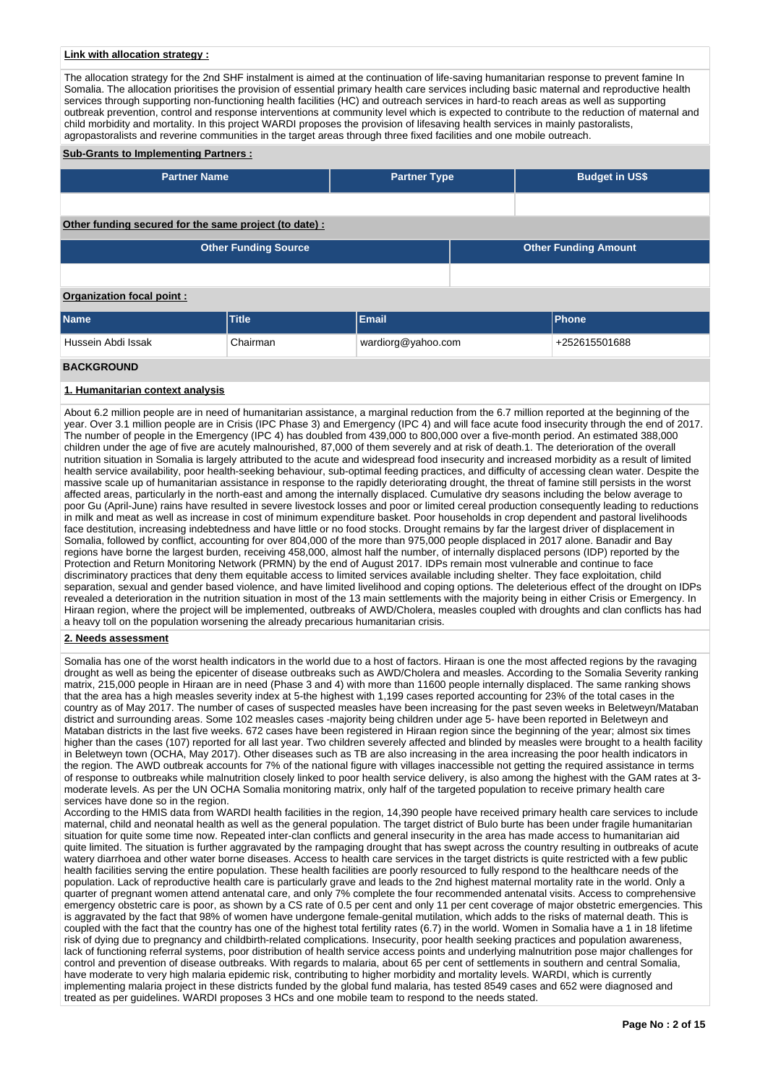#### **Link with allocation strategy :**

The allocation strategy for the 2nd SHF instalment is aimed at the continuation of life-saving humanitarian response to prevent famine In Somalia. The allocation prioritises the provision of essential primary health care services including basic maternal and reproductive health services through supporting non-functioning health facilities (HC) and outreach services in hard-to reach areas as well as supporting outbreak prevention, control and response interventions at community level which is expected to contribute to the reduction of maternal and child morbidity and mortality. In this project WARDI proposes the provision of lifesaving health services in mainly pastoralists, agropastoralists and reverine communities in the target areas through three fixed facilities and one mobile outreach.

#### **Sub-Grants to Implementing Partners :**

| <b>Partner Name</b>                                   | <b>Partner Type</b> | <b>Budget in US\$</b>       |  |  |  |  |
|-------------------------------------------------------|---------------------|-----------------------------|--|--|--|--|
|                                                       |                     |                             |  |  |  |  |
| Other funding secured for the same project (to date): |                     |                             |  |  |  |  |
| <b>Other Funding Source</b>                           |                     | <b>Other Funding Amount</b> |  |  |  |  |
|                                                       |                     |                             |  |  |  |  |
| Organization focal point:                             |                     |                             |  |  |  |  |
| <b>Name</b><br><b>Title</b>                           | Email               | Phone                       |  |  |  |  |

| <b>Name</b>        | <b>Title</b> | Email              | Phone         |
|--------------------|--------------|--------------------|---------------|
| Hussein Abdi Issak | Chairman     | wardiorg@yahoo.com | +252615501688 |
| <b>BACKGROUND</b>  |              |                    |               |

# **1. Humanitarian context analysis**

About 6.2 million people are in need of humanitarian assistance, a marginal reduction from the 6.7 million reported at the beginning of the year. Over 3.1 million people are in Crisis (IPC Phase 3) and Emergency (IPC 4) and will face acute food insecurity through the end of 2017. The number of people in the Emergency (IPC 4) has doubled from 439,000 to 800,000 over a five-month period. An estimated 388,000 children under the age of five are acutely malnourished, 87,000 of them severely and at risk of death.1. The deterioration of the overall nutrition situation in Somalia is largely attributed to the acute and widespread food insecurity and increased morbidity as a result of limited health service availability, poor health-seeking behaviour, sub-optimal feeding practices, and difficulty of accessing clean water. Despite the massive scale up of humanitarian assistance in response to the rapidly deteriorating drought, the threat of famine still persists in the worst affected areas, particularly in the north-east and among the internally displaced. Cumulative dry seasons including the below average to poor Gu (April-June) rains have resulted in severe livestock losses and poor or limited cereal production consequently leading to reductions in milk and meat as well as increase in cost of minimum expenditure basket. Poor households in crop dependent and pastoral livelihoods face destitution, increasing indebtedness and have little or no food stocks. Drought remains by far the largest driver of displacement in Somalia, followed by conflict, accounting for over 804,000 of the more than 975,000 people displaced in 2017 alone. Banadir and Bay regions have borne the largest burden, receiving 458,000, almost half the number, of internally displaced persons (IDP) reported by the Protection and Return Monitoring Network (PRMN) by the end of August 2017. IDPs remain most vulnerable and continue to face discriminatory practices that deny them equitable access to limited services available including shelter. They face exploitation, child separation, sexual and gender based violence, and have limited livelihood and coping options. The deleterious effect of the drought on IDPs revealed a deterioration in the nutrition situation in most of the 13 main settlements with the majority being in either Crisis or Emergency. In Hiraan region, where the project will be implemented, outbreaks of AWD/Cholera, measles coupled with droughts and clan conflicts has had a heavy toll on the population worsening the already precarious humanitarian crisis.

#### **2. Needs assessment**

Somalia has one of the worst health indicators in the world due to a host of factors. Hiraan is one the most affected regions by the ravaging drought as well as being the epicenter of disease outbreaks such as AWD/Cholera and measles. According to the Somalia Severity ranking matrix, 215,000 people in Hiraan are in need (Phase 3 and 4) with more than 11600 people internally displaced. The same ranking shows that the area has a high measles severity index at 5-the highest with 1,199 cases reported accounting for 23% of the total cases in the country as of May 2017. The number of cases of suspected measles have been increasing for the past seven weeks in Beletweyn/Mataban district and surrounding areas. Some 102 measles cases -majority being children under age 5- have been reported in Beletweyn and Mataban districts in the last five weeks. 672 cases have been registered in Hiraan region since the beginning of the year; almost six times higher than the cases (107) reported for all last year. Two children severely affected and blinded by measles were brought to a health facility in Beletweyn town (OCHA, May 2017). Other diseases such as TB are also increasing in the area increasing the poor health indicators in the region. The AWD outbreak accounts for 7% of the national figure with villages inaccessible not getting the required assistance in terms of response to outbreaks while malnutrition closely linked to poor health service delivery, is also among the highest with the GAM rates at 3 moderate levels. As per the UN OCHA Somalia monitoring matrix, only half of the targeted population to receive primary health care services have done so in the region.

According to the HMIS data from WARDI health facilities in the region, 14,390 people have received primary health care services to include maternal, child and neonatal health as well as the general population. The target district of Bulo burte has been under fragile humanitarian situation for quite some time now. Repeated inter-clan conflicts and general insecurity in the area has made access to humanitarian aid quite limited. The situation is further aggravated by the rampaging drought that has swept across the country resulting in outbreaks of acute watery diarrhoea and other water borne diseases. Access to health care services in the target districts is quite restricted with a few public health facilities serving the entire population. These health facilities are poorly resourced to fully respond to the healthcare needs of the population. Lack of reproductive health care is particularly grave and leads to the 2nd highest maternal mortality rate in the world. Only a quarter of pregnant women attend antenatal care, and only 7% complete the four recommended antenatal visits. Access to comprehensive emergency obstetric care is poor, as shown by a CS rate of 0.5 per cent and only 11 per cent coverage of major obstetric emergencies. This is aggravated by the fact that 98% of women have undergone female-genital mutilation, which adds to the risks of maternal death. This is coupled with the fact that the country has one of the highest total fertility rates (6.7) in the world. Women in Somalia have a 1 in 18 lifetime risk of dying due to pregnancy and childbirth-related complications. Insecurity, poor health seeking practices and population awareness, lack of functioning referral systems, poor distribution of health service access points and underlying malnutrition pose major challenges for control and prevention of disease outbreaks. With regards to malaria, about 65 per cent of settlements in southern and central Somalia, have moderate to very high malaria epidemic risk, contributing to higher morbidity and mortality levels. WARDI, which is currently implementing malaria project in these districts funded by the global fund malaria, has tested 8549 cases and 652 were diagnosed and treated as per guidelines. WARDI proposes 3 HCs and one mobile team to respond to the needs stated.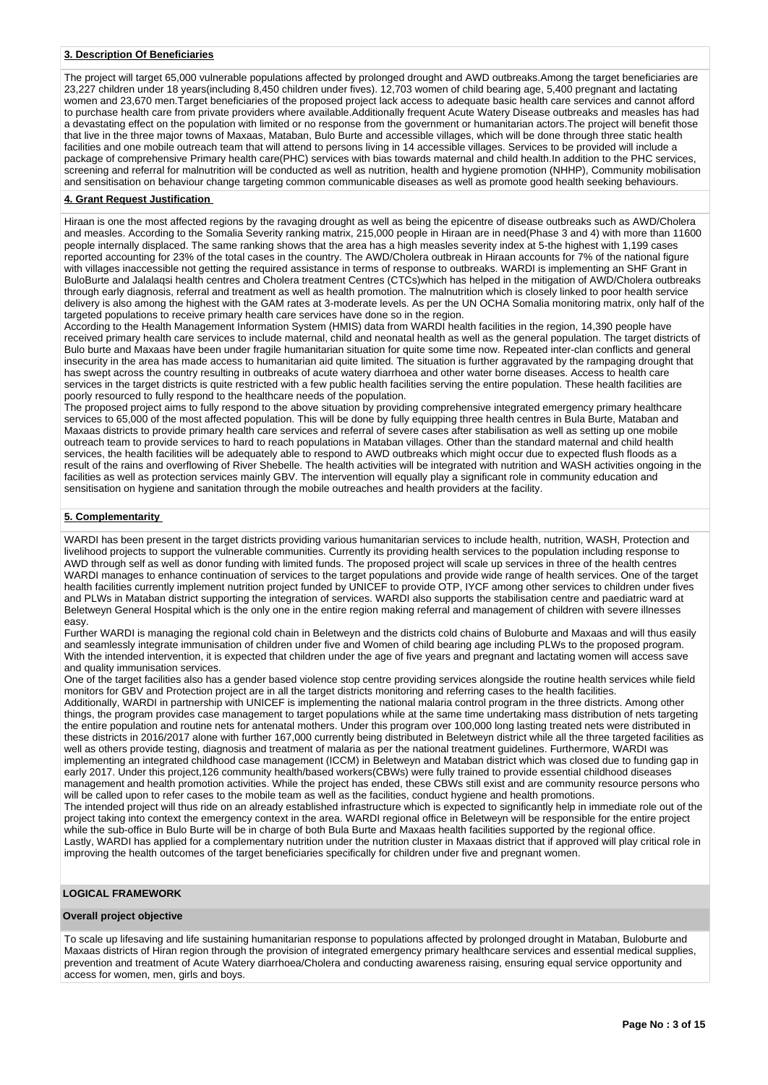#### **3. Description Of Beneficiaries**

The project will target 65,000 vulnerable populations affected by prolonged drought and AWD outbreaks.Among the target beneficiaries are 23,227 children under 18 years(including 8,450 children under fives). 12,703 women of child bearing age, 5,400 pregnant and lactating women and 23,670 men.Target beneficiaries of the proposed project lack access to adequate basic health care services and cannot afford to purchase health care from private providers where available.Additionally frequent Acute Watery Disease outbreaks and measles has had a devastating effect on the population with limited or no response from the government or humanitarian actors.The project will benefit those that live in the three major towns of Maxaas, Mataban, Bulo Burte and accessible villages, which will be done through three static health facilities and one mobile outreach team that will attend to persons living in 14 accessible villages. Services to be provided will include a package of comprehensive Primary health care(PHC) services with bias towards maternal and child health.In addition to the PHC services, screening and referral for malnutrition will be conducted as well as nutrition, health and hygiene promotion (NHHP), Community mobilisation and sensitisation on behaviour change targeting common communicable diseases as well as promote good health seeking behaviours.

#### **4. Grant Request Justification**

Hiraan is one the most affected regions by the ravaging drought as well as being the epicentre of disease outbreaks such as AWD/Cholera and measles. According to the Somalia Severity ranking matrix, 215,000 people in Hiraan are in need(Phase 3 and 4) with more than 11600 people internally displaced. The same ranking shows that the area has a high measles severity index at 5-the highest with 1,199 cases reported accounting for 23% of the total cases in the country. The AWD/Cholera outbreak in Hiraan accounts for 7% of the national figure with villages inaccessible not getting the required assistance in terms of response to outbreaks. WARDI is implementing an SHF Grant in BuloBurte and Jalalaqsi health centres and Cholera treatment Centres (CTCs)which has helped in the mitigation of AWD/Cholera outbreaks through early diagnosis, referral and treatment as well as health promotion. The malnutrition which is closely linked to poor health service delivery is also among the highest with the GAM rates at 3-moderate levels. As per the UN OCHA Somalia monitoring matrix, only half of the targeted populations to receive primary health care services have done so in the region.

According to the Health Management Information System (HMIS) data from WARDI health facilities in the region, 14,390 people have received primary health care services to include maternal, child and neonatal health as well as the general population. The target districts of Bulo burte and Maxaas have been under fragile humanitarian situation for quite some time now. Repeated inter-clan conflicts and general insecurity in the area has made access to humanitarian aid quite limited. The situation is further aggravated by the rampaging drought that has swept across the country resulting in outbreaks of acute watery diarrhoea and other water borne diseases. Access to health care services in the target districts is quite restricted with a few public health facilities serving the entire population. These health facilities are poorly resourced to fully respond to the healthcare needs of the population.

The proposed project aims to fully respond to the above situation by providing comprehensive integrated emergency primary healthcare services to 65,000 of the most affected population. This will be done by fully equipping three health centres in Bula Burte, Mataban and Maxaas districts to provide primary health care services and referral of severe cases after stabilisation as well as setting up one mobile outreach team to provide services to hard to reach populations in Mataban villages. Other than the standard maternal and child health services, the health facilities will be adequately able to respond to AWD outbreaks which might occur due to expected flush floods as a result of the rains and overflowing of River Shebelle. The health activities will be integrated with nutrition and WASH activities ongoing in the facilities as well as protection services mainly GBV. The intervention will equally play a significant role in community education and sensitisation on hygiene and sanitation through the mobile outreaches and health providers at the facility.

# **5. Complementarity**

WARDI has been present in the target districts providing various humanitarian services to include health, nutrition, WASH, Protection and livelihood projects to support the vulnerable communities. Currently its providing health services to the population including response to AWD through self as well as donor funding with limited funds. The proposed project will scale up services in three of the health centres WARDI manages to enhance continuation of services to the target populations and provide wide range of health services. One of the target health facilities currently implement nutrition project funded by UNICEF to provide OTP, IYCF among other services to children under fives and PLWs in Mataban district supporting the integration of services. WARDI also supports the stabilisation centre and paediatric ward at Beletweyn General Hospital which is the only one in the entire region making referral and management of children with severe illnesses easy.

Further WARDI is managing the regional cold chain in Beletweyn and the districts cold chains of Buloburte and Maxaas and will thus easily and seamlessly integrate immunisation of children under five and Women of child bearing age including PLWs to the proposed program. With the intended intervention, it is expected that children under the age of five years and pregnant and lactating women will access save and quality immunisation services.

One of the target facilities also has a gender based violence stop centre providing services alongside the routine health services while field monitors for GBV and Protection project are in all the target districts monitoring and referring cases to the health facilities.

Additionally, WARDI in partnership with UNICEF is implementing the national malaria control program in the three districts. Among other things, the program provides case management to target populations while at the same time undertaking mass distribution of nets targeting the entire population and routine nets for antenatal mothers. Under this program over 100,000 long lasting treated nets were distributed in these districts in 2016/2017 alone with further 167,000 currently being distributed in Beletweyn district while all the three targeted facilities as well as others provide testing, diagnosis and treatment of malaria as per the national treatment guidelines. Furthermore, WARDI was implementing an integrated childhood case management (ICCM) in Beletweyn and Mataban district which was closed due to funding gap in early 2017. Under this project,126 community health/based workers(CBWs) were fully trained to provide essential childhood diseases management and health promotion activities. While the project has ended, these CBWs still exist and are community resource persons who will be called upon to refer cases to the mobile team as well as the facilities, conduct hygiene and health promotions. The intended project will thus ride on an already established infrastructure which is expected to significantly help in immediate role out of the project taking into context the emergency context in the area. WARDI regional office in Beletweyn will be responsible for the entire project while the sub-office in Bulo Burte will be in charge of both Bula Burte and Maxaas health facilities supported by the regional office. Lastly, WARDI has applied for a complementary nutrition under the nutrition cluster in Maxaas district that if approved will play critical role in improving the health outcomes of the target beneficiaries specifically for children under five and pregnant women.

#### **LOGICAL FRAMEWORK**

#### **Overall project objective**

To scale up lifesaving and life sustaining humanitarian response to populations affected by prolonged drought in Mataban, Buloburte and Maxaas districts of Hiran region through the provision of integrated emergency primary healthcare services and essential medical supplies, prevention and treatment of Acute Watery diarrhoea/Cholera and conducting awareness raising, ensuring equal service opportunity and access for women, men, girls and boys.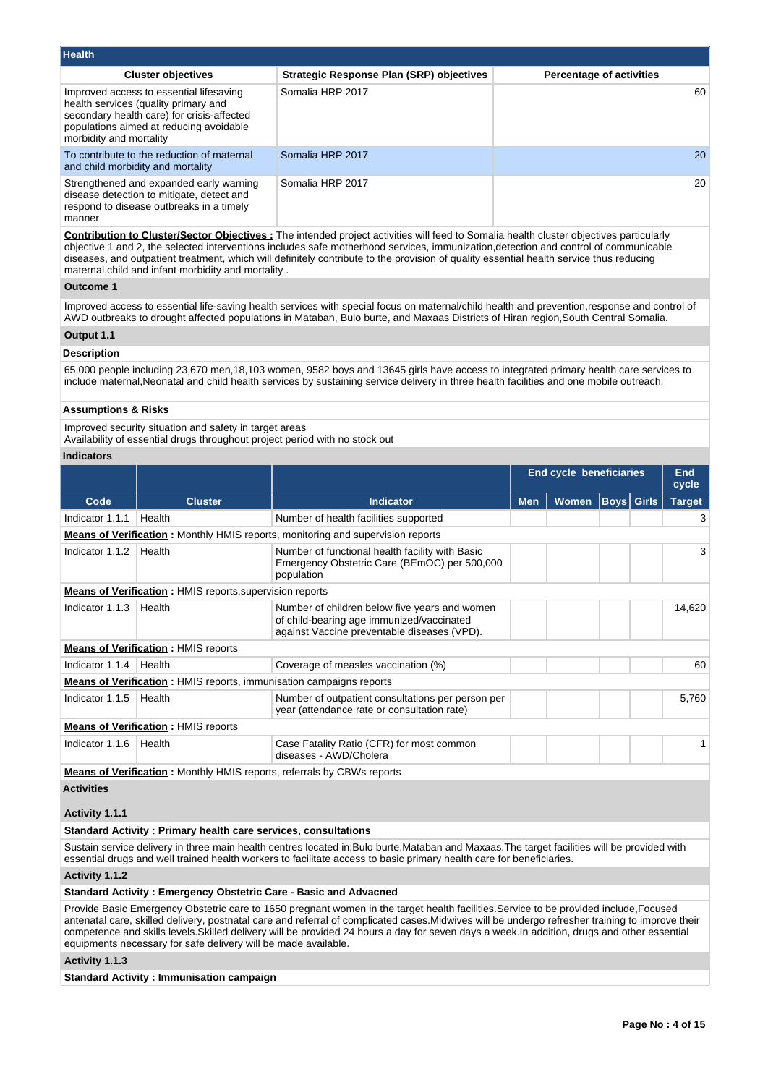| <b>Health</b>                                                                                                                                                                                       |                                                 |                                 |
|-----------------------------------------------------------------------------------------------------------------------------------------------------------------------------------------------------|-------------------------------------------------|---------------------------------|
| <b>Cluster objectives</b>                                                                                                                                                                           | <b>Strategic Response Plan (SRP) objectives</b> | <b>Percentage of activities</b> |
| Improved access to essential lifesaving<br>health services (quality primary and<br>secondary health care) for crisis-affected<br>populations aimed at reducing avoidable<br>morbidity and mortality | Somalia HRP 2017                                | 60                              |
| To contribute to the reduction of maternal<br>and child morbidity and mortality                                                                                                                     | Somalia HRP 2017                                | 20                              |
| Strengthened and expanded early warning<br>disease detection to mitigate, detect and<br>respond to disease outbreaks in a timely<br>manner                                                          | Somalia HRP 2017                                | 20                              |

**Contribution to Cluster/Sector Objectives :** The intended project activities will feed to Somalia health cluster objectives particularly objective 1 and 2, the selected interventions includes safe motherhood services, immunization,detection and control of communicable diseases, and outpatient treatment, which will definitely contribute to the provision of quality essential health service thus reducing maternal,child and infant morbidity and mortality .

#### **Outcome 1**

Improved access to essential life-saving health services with special focus on maternal/child health and prevention,response and control of AWD outbreaks to drought affected populations in Mataban, Bulo burte, and Maxaas Districts of Hiran region,South Central Somalia.

# **Output 1.1**

### **Description**

65,000 people including 23,670 men,18,103 women, 9582 boys and 13645 girls have access to integrated primary health care services to include maternal,Neonatal and child health services by sustaining service delivery in three health facilities and one mobile outreach.

## **Assumptions & Risks**

Improved security situation and safety in target areas

Availability of essential drugs throughout project period with no stock out

# **Indicators**

|                 |                                                                               |                                                                                                                                           |            | <b>End cycle beneficiaries</b> |                   |  | End<br>cycle  |
|-----------------|-------------------------------------------------------------------------------|-------------------------------------------------------------------------------------------------------------------------------------------|------------|--------------------------------|-------------------|--|---------------|
| Code            | <b>Cluster</b>                                                                | <b>Indicator</b>                                                                                                                          | <b>Men</b> | Women                          | <b>Boys Girls</b> |  | <b>Target</b> |
| Indicator 1.1.1 | Health                                                                        | Number of health facilities supported                                                                                                     |            |                                |                   |  | З             |
|                 |                                                                               | <b>Means of Verification:</b> Monthly HMIS reports, monitoring and supervision reports                                                    |            |                                |                   |  |               |
| Indicator 1.1.2 | Health                                                                        | Number of functional health facility with Basic<br>Emergency Obstetric Care (BEmOC) per 500,000<br>population                             |            |                                |                   |  |               |
|                 | <b>Means of Verification:</b> HMIS reports, supervision reports               |                                                                                                                                           |            |                                |                   |  |               |
| Indicator 1.1.3 | Health                                                                        | Number of children below five years and women<br>of child-bearing age immunized/vaccinated<br>against Vaccine preventable diseases (VPD). |            |                                |                   |  | 14,620        |
|                 | <b>Means of Verification: HMIS reports</b>                                    |                                                                                                                                           |            |                                |                   |  |               |
| Indicator 1.1.4 | Health                                                                        | Coverage of measles vaccination (%)                                                                                                       |            |                                |                   |  | 60            |
|                 | <b>Means of Verification:</b> HMIS reports, immunisation campaigns reports    |                                                                                                                                           |            |                                |                   |  |               |
| Indicator 1.1.5 | Health                                                                        | Number of outpatient consultations per person per<br>year (attendance rate or consultation rate)                                          |            |                                |                   |  | 5,760         |
|                 | <b>Means of Verification: HMIS reports</b>                                    |                                                                                                                                           |            |                                |                   |  |               |
| Indicator 1.1.6 | Health                                                                        | Case Fatality Ratio (CFR) for most common<br>diseases - AWD/Cholera                                                                       |            |                                |                   |  |               |
|                 | <b>Means of Verification:</b> Monthly HMIS reports, referrals by CBWs reports |                                                                                                                                           |            |                                |                   |  |               |

**Activities**

#### **Activity 1.1.1**

#### **Standard Activity : Primary health care services, consultations**

Sustain service delivery in three main health centres located in;Bulo burte,Mataban and Maxaas.The target facilities will be provided with essential drugs and well trained health workers to facilitate access to basic primary health care for beneficiaries.

#### **Activity 1.1.2**

#### **Standard Activity : Emergency Obstetric Care - Basic and Advacned**

Provide Basic Emergency Obstetric care to 1650 pregnant women in the target health facilities.Service to be provided include,Focused antenatal care, skilled delivery, postnatal care and referral of complicated cases.Midwives will be undergo refresher training to improve their competence and skills levels.Skilled delivery will be provided 24 hours a day for seven days a week.In addition, drugs and other essential equipments necessary for safe delivery will be made available.

#### **Activity 1.1.3**

**Standard Activity : Immunisation campaign**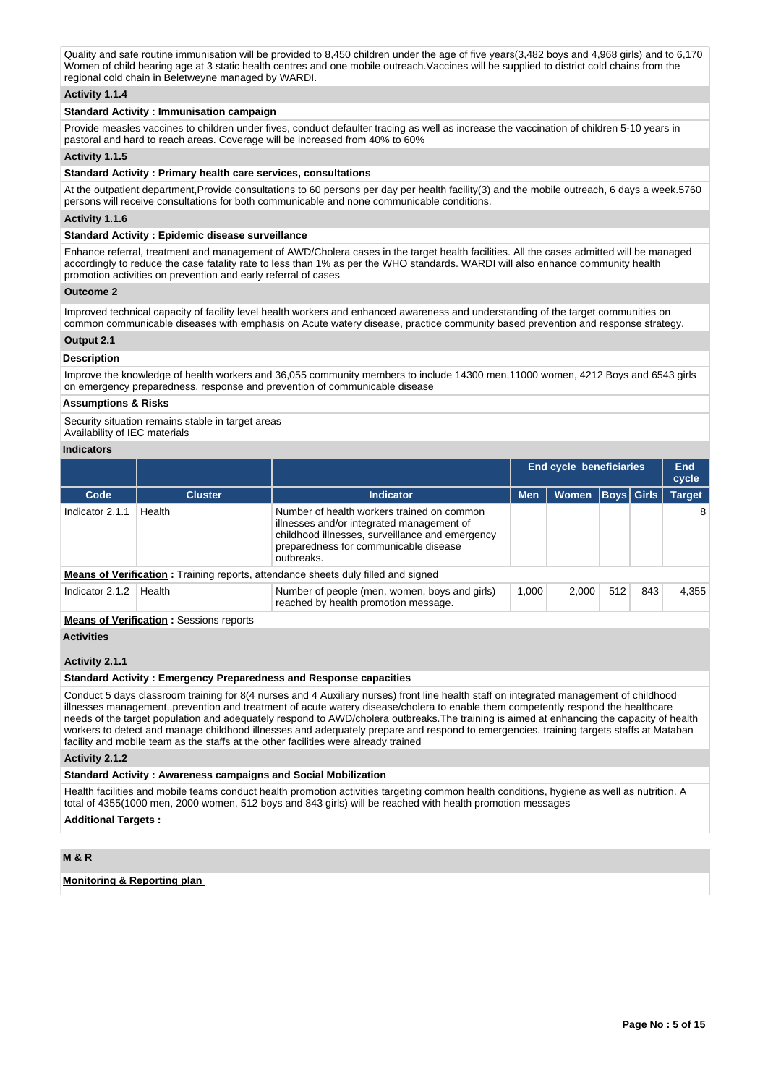Quality and safe routine immunisation will be provided to 8,450 children under the age of five years(3,482 boys and 4,968 girls) and to 6,170 Women of child bearing age at 3 static health centres and one mobile outreach.Vaccines will be supplied to district cold chains from the regional cold chain in Beletweyne managed by WARDI.

#### **Activity 1.1.4**

#### **Standard Activity : Immunisation campaign**

Provide measles vaccines to children under fives, conduct defaulter tracing as well as increase the vaccination of children 5-10 vears in pastoral and hard to reach areas. Coverage will be increased from 40% to 60%

#### **Activity 1.1.5**

#### **Standard Activity : Primary health care services, consultations**

At the outpatient department,Provide consultations to 60 persons per day per health facility(3) and the mobile outreach, 6 days a week.5760 persons will receive consultations for both communicable and none communicable conditions.

#### **Activity 1.1.6**

#### **Standard Activity : Epidemic disease surveillance**

Enhance referral, treatment and management of AWD/Cholera cases in the target health facilities. All the cases admitted will be managed accordingly to reduce the case fatality rate to less than 1% as per the WHO standards. WARDI will also enhance community health promotion activities on prevention and early referral of cases

#### **Outcome 2**

Improved technical capacity of facility level health workers and enhanced awareness and understanding of the target communities on common communicable diseases with emphasis on Acute watery disease, practice community based prevention and response strategy.

#### **Output 2.1**

#### **Description**

Improve the knowledge of health workers and 36,055 community members to include 14300 men,11000 women, 4212 Boys and 6543 girls on emergency preparedness, response and prevention of communicable disease

#### **Assumptions & Risks**

Security situation remains stable in target areas

Availability of IEC materials

# **Indicators**

|                 |                                                |                                                                                                                                                                                                   |                              |              |                   | End cycle beneficiaries |               |  |  |  |  |
|-----------------|------------------------------------------------|---------------------------------------------------------------------------------------------------------------------------------------------------------------------------------------------------|------------------------------|--------------|-------------------|-------------------------|---------------|--|--|--|--|
| Code            | <b>Cluster</b>                                 | <b>Indicator</b>                                                                                                                                                                                  | <b>Men</b>                   | <b>Women</b> | <b>Boys Girls</b> |                         | <b>Target</b> |  |  |  |  |
| Indicator 2.1.1 | Health                                         | Number of health workers trained on common<br>illnesses and/or integrated management of<br>childhood illnesses, surveillance and emergency<br>preparedness for communicable disease<br>outbreaks. |                              |              |                   |                         | 8             |  |  |  |  |
|                 |                                                | <b>Means of Verification:</b> Training reports, attendance sheets duly filled and signed                                                                                                          |                              |              |                   |                         |               |  |  |  |  |
| Indicator 2.1.2 | Health                                         | Number of people (men, women, boys and girls)<br>reached by health promotion message.                                                                                                             | 512<br>1.000<br>2.000<br>843 |              |                   |                         | 4,355         |  |  |  |  |
|                 | <b>Means of Verification:</b> Sessions reports |                                                                                                                                                                                                   |                              |              |                   |                         |               |  |  |  |  |

#### **Activities**

#### **Activity 2.1.1**

#### **Standard Activity : Emergency Preparedness and Response capacities**

Conduct 5 days classroom training for 8(4 nurses and 4 Auxiliary nurses) front line health staff on integrated management of childhood illnesses management,,prevention and treatment of acute watery disease/cholera to enable them competently respond the healthcare needs of the target population and adequately respond to AWD/cholera outbreaks.The training is aimed at enhancing the capacity of health workers to detect and manage childhood illnesses and adequately prepare and respond to emergencies. training targets staffs at Mataban facility and mobile team as the staffs at the other facilities were already trained

#### **Activity 2.1.2**

#### **Standard Activity : Awareness campaigns and Social Mobilization**

Health facilities and mobile teams conduct health promotion activities targeting common health conditions, hygiene as well as nutrition. A total of 4355(1000 men, 2000 women, 512 boys and 843 girls) will be reached with health promotion messages

#### **Additional Targets :**

# **M & R**

**Monitoring & Reporting plan**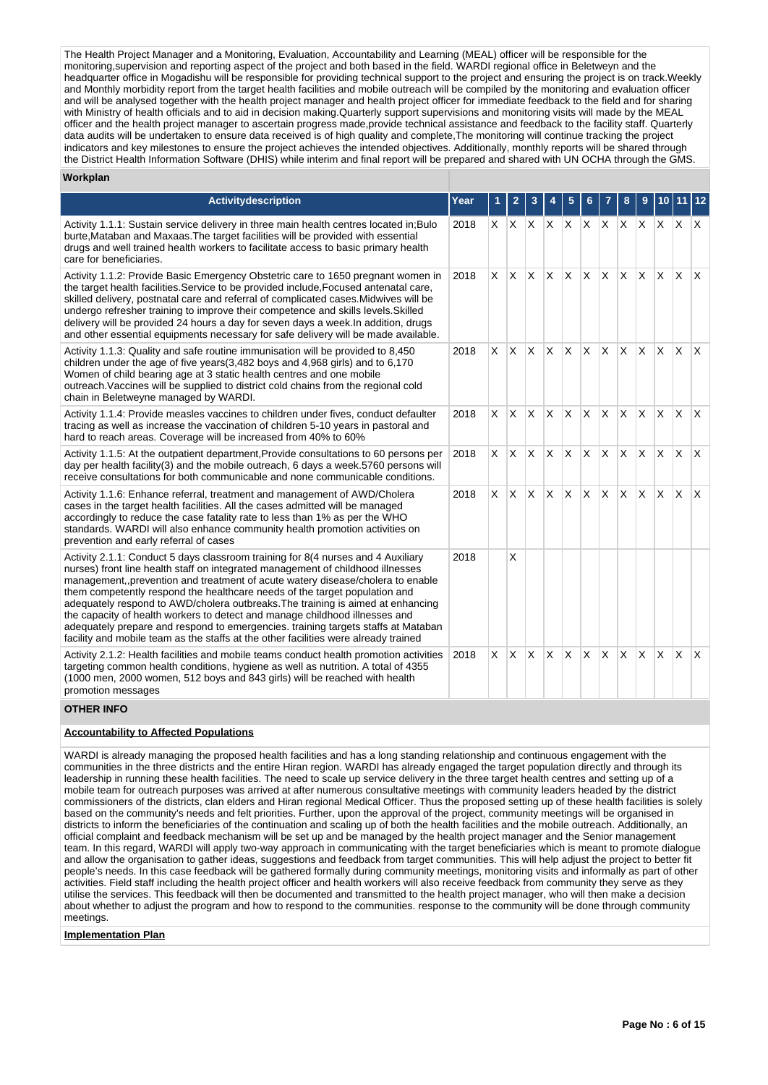The Health Project Manager and a Monitoring, Evaluation, Accountability and Learning (MEAL) officer will be responsible for the monitoring,supervision and reporting aspect of the project and both based in the field. WARDI regional office in Beletweyn and the headquarter office in Mogadishu will be responsible for providing technical support to the project and ensuring the project is on track.Weekly and Monthly morbidity report from the target health facilities and mobile outreach will be compiled by the monitoring and evaluation officer and will be analysed together with the health project manager and health project officer for immediate feedback to the field and for sharing with Ministry of health officials and to aid in decision making.Quarterly support supervisions and monitoring visits will made by the MEAL officer and the health project manager to ascertain progress made,provide technical assistance and feedback to the facility staff. Quarterly data audits will be undertaken to ensure data received is of high quality and complete,The monitoring will continue tracking the project indicators and key milestones to ensure the project achieves the intended objectives. Additionally, monthly reports will be shared through the District Health Information Software (DHIS) while interim and final report will be prepared and shared with UN OCHA through the GMS.

#### **Workplan**

| <b>Activitydescription</b>                                                                                                                                                                                                                                                                                                                                                                                                                                                                                                                                                                                                                                                        |      |          | $\mathbf{2}$ | 3            |                           | 5            |              |                |          | 9            |              |          | 12                      |
|-----------------------------------------------------------------------------------------------------------------------------------------------------------------------------------------------------------------------------------------------------------------------------------------------------------------------------------------------------------------------------------------------------------------------------------------------------------------------------------------------------------------------------------------------------------------------------------------------------------------------------------------------------------------------------------|------|----------|--------------|--------------|---------------------------|--------------|--------------|----------------|----------|--------------|--------------|----------|-------------------------|
|                                                                                                                                                                                                                                                                                                                                                                                                                                                                                                                                                                                                                                                                                   | Year |          |              |              |                           |              |              |                |          |              |              |          |                         |
| Activity 1.1.1: Sustain service delivery in three main health centres located in; Bulo<br>burte, Mataban and Maxaas. The target facilities will be provided with essential<br>drugs and well trained health workers to facilitate access to basic primary health<br>care for beneficiaries.                                                                                                                                                                                                                                                                                                                                                                                       | 2018 | X I      | X            | $\mathsf{X}$ | X                         |              | $\mathsf{X}$ | $\mathsf{X}^-$ |          | $X$ $X$      | $X$ $X$      |          | $\mathsf{X}$            |
| Activity 1.1.2: Provide Basic Emergency Obstetric care to 1650 pregnant women in<br>the target health facilities. Service to be provided include, Focused antenatal care,<br>skilled delivery, postnatal care and referral of complicated cases. Midwives will be<br>undergo refresher training to improve their competence and skills levels. Skilled<br>delivery will be provided 24 hours a day for seven days a week. In addition, drugs<br>and other essential equipments necessary for safe delivery will be made available.                                                                                                                                                | 2018 | X.       | $\times$     | <b>X</b>     | $X$ $X$                   |              | $\times$     | IX.            | <b>X</b> | IX.          | $\times$     | <b>X</b> | ΙX.                     |
| Activity 1.1.3: Quality and safe routine immunisation will be provided to 8,450<br>children under the age of five years $(3,482$ boys and $4,968$ girls) and to $6,170$<br>Women of child bearing age at 3 static health centres and one mobile<br>outreach. Vaccines will be supplied to district cold chains from the regional cold<br>chain in Beletweyne managed by WARDI.                                                                                                                                                                                                                                                                                                    | 2018 | X.       | X            | ΙX.          | $\mathsf{X}$ $\mathsf{X}$ |              | $\times$     | ΙX.            | X.       | $\mathsf{X}$ | $\mathsf{X}$ | ΙX.      | $\mathsf{I} \mathsf{X}$ |
| Activity 1.1.4: Provide measles vaccines to children under fives, conduct defaulter<br>tracing as well as increase the vaccination of children 5-10 years in pastoral and<br>hard to reach areas. Coverage will be increased from 40% to 60%                                                                                                                                                                                                                                                                                                                                                                                                                                      | 2018 | X.       | X            | X.           | $\mathsf{X}$              | $\mathsf{X}$ | $\mathsf{x}$ | IX.            | ΙX.      | ΙX.          | $\times$     | ΙX.      | $\mathsf{X}$            |
| Activity 1.1.5: At the outpatient department, Provide consultations to 60 persons per<br>day per health facility(3) and the mobile outreach, 6 days a week.5760 persons will<br>receive consultations for both communicable and none communicable conditions.                                                                                                                                                                                                                                                                                                                                                                                                                     | 2018 | $\times$ | $\times$     | X.           | $\mathsf{X}$              | $\mathsf{X}$ | $\times$     | X.             | $X$ $X$  |              | $\times$     | X.       | ΙX.                     |
| Activity 1.1.6: Enhance referral, treatment and management of AWD/Cholera<br>cases in the target health facilities. All the cases admitted will be managed<br>accordingly to reduce the case fatality rate to less than 1% as per the WHO<br>standards. WARDI will also enhance community health promotion activities on<br>prevention and early referral of cases                                                                                                                                                                                                                                                                                                                | 2018 | X.       | X            | X.           | $\mathsf{X}$              | IX.          | $\times$     | ΙX.            | <b>X</b> | ΙX.          | $\times$     | IX.      | ΙX.                     |
| Activity 2.1.1: Conduct 5 days classroom training for 8(4 nurses and 4 Auxiliary<br>nurses) front line health staff on integrated management of childhood illnesses<br>management, prevention and treatment of acute watery disease/cholera to enable<br>them competently respond the healthcare needs of the target population and<br>adequately respond to AWD/cholera outbreaks. The training is aimed at enhancing<br>the capacity of health workers to detect and manage childhood illnesses and<br>adequately prepare and respond to emergencies. training targets staffs at Mataban<br>facility and mobile team as the staffs at the other facilities were already trained | 2018 |          | X            |              |                           |              |              |                |          |              |              |          |                         |
| Activity 2.1.2: Health facilities and mobile teams conduct health promotion activities<br>targeting common health conditions, hygiene as well as nutrition. A total of 4355<br>(1000 men, 2000 women, 512 boys and 843 girls) will be reached with health<br>promotion messages                                                                                                                                                                                                                                                                                                                                                                                                   | 2018 | X.       | $\times$     | <b>X</b>     | $x \times x$              |              |              | Ιx.            | <b>X</b> | $\mathsf{X}$ | $\mathsf{x}$ | ΙX.      | $\mathsf{X}$            |

### **OTHER INFO**

#### **Accountability to Affected Populations**

WARDI is already managing the proposed health facilities and has a long standing relationship and continuous engagement with the communities in the three districts and the entire Hiran region. WARDI has already engaged the target population directly and through its leadership in running these health facilities. The need to scale up service delivery in the three target health centres and setting up of a mobile team for outreach purposes was arrived at after numerous consultative meetings with community leaders headed by the district commissioners of the districts, clan elders and Hiran regional Medical Officer. Thus the proposed setting up of these health facilities is solely based on the community's needs and felt priorities. Further, upon the approval of the project, community meetings will be organised in districts to inform the beneficiaries of the continuation and scaling up of both the health facilities and the mobile outreach. Additionally, an official complaint and feedback mechanism will be set up and be managed by the health project manager and the Senior management team. In this regard, WARDI will apply two-way approach in communicating with the target beneficiaries which is meant to promote dialogue and allow the organisation to gather ideas, suggestions and feedback from target communities. This will help adjust the project to better fit people's needs. In this case feedback will be gathered formally during community meetings, monitoring visits and informally as part of other activities. Field staff including the health project officer and health workers will also receive feedback from community they serve as they utilise the services. This feedback will then be documented and transmitted to the health project manager, who will then make a decision about whether to adjust the program and how to respond to the communities. response to the community will be done through community meetings.

#### **Implementation Plan**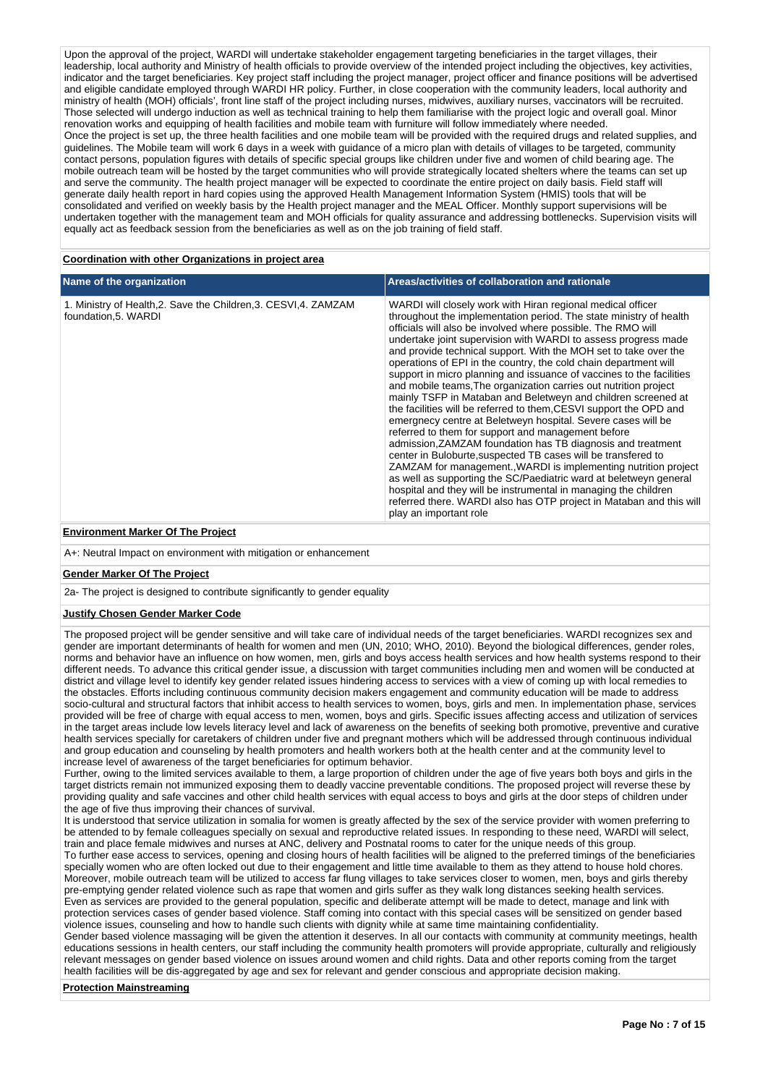Upon the approval of the project, WARDI will undertake stakeholder engagement targeting beneficiaries in the target villages, their leadership, local authority and Ministry of health officials to provide overview of the intended project including the objectives, key activities, indicator and the target beneficiaries. Key project staff including the project manager, project officer and finance positions will be advertised and eligible candidate employed through WARDI HR policy. Further, in close cooperation with the community leaders, local authority and ministry of health (MOH) officials', front line staff of the project including nurses, midwives, auxiliary nurses, vaccinators will be recruited. Those selected will undergo induction as well as technical training to help them familiarise with the project logic and overall goal. Minor renovation works and equipping of health facilities and mobile team with furniture will follow immediately where needed. Once the project is set up, the three health facilities and one mobile team will be provided with the required drugs and related supplies, and guidelines. The Mobile team will work 6 days in a week with guidance of a micro plan with details of villages to be targeted, community contact persons, population figures with details of specific special groups like children under five and women of child bearing age. The mobile outreach team will be hosted by the target communities who will provide strategically located shelters where the teams can set up and serve the community. The health project manager will be expected to coordinate the entire project on daily basis. Field staff will generate daily health report in hard copies using the approved Health Management Information System (HMIS) tools that will be consolidated and verified on weekly basis by the Health project manager and the MEAL Officer. Monthly support supervisions will be undertaken together with the management team and MOH officials for quality assurance and addressing bottlenecks. Supervision visits will equally act as feedback session from the beneficiaries as well as on the job training of field staff.

#### **Coordination with other Organizations in project area**

| Name of the organization                                                                 | Areas/activities of collaboration and rationale                                                                                                                                                                                                                                                                                                                                                                                                                                                                                                                                                                                                                                                                                                                                                                                                                                                                                                                                                                                                                                                                                                                                                                                                                  |
|------------------------------------------------------------------------------------------|------------------------------------------------------------------------------------------------------------------------------------------------------------------------------------------------------------------------------------------------------------------------------------------------------------------------------------------------------------------------------------------------------------------------------------------------------------------------------------------------------------------------------------------------------------------------------------------------------------------------------------------------------------------------------------------------------------------------------------------------------------------------------------------------------------------------------------------------------------------------------------------------------------------------------------------------------------------------------------------------------------------------------------------------------------------------------------------------------------------------------------------------------------------------------------------------------------------------------------------------------------------|
| 1. Ministry of Health, 2. Save the Children, 3. CESVI, 4. ZAMZAM<br>foundation, 5. WARDI | WARDI will closely work with Hiran regional medical officer<br>throughout the implementation period. The state ministry of health<br>officials will also be involved where possible. The RMO will<br>undertake joint supervision with WARDI to assess progress made<br>and provide technical support. With the MOH set to take over the<br>operations of EPI in the country, the cold chain department will<br>support in micro planning and issuance of vaccines to the facilities<br>and mobile teams. The organization carries out nutrition project<br>mainly TSFP in Mataban and Beletweyn and children screened at<br>the facilities will be referred to them, CESVI support the OPD and<br>emergnecy centre at Beletweyn hospital. Severe cases will be<br>referred to them for support and management before<br>admission, ZAMZAM foundation has TB diagnosis and treatment<br>center in Buloburte, suspected TB cases will be transfered to<br>ZAMZAM for management., WARDI is implementing nutrition project<br>as well as supporting the SC/Paediatric ward at beletweyn general<br>hospital and they will be instrumental in managing the children<br>referred there. WARDI also has OTP project in Mataban and this will<br>play an important role |

#### **Environment Marker Of The Project**

A+: Neutral Impact on environment with mitigation or enhancement

#### **Gender Marker Of The Project**

2a- The project is designed to contribute significantly to gender equality

#### **Justify Chosen Gender Marker Code**

The proposed project will be gender sensitive and will take care of individual needs of the target beneficiaries. WARDI recognizes sex and gender are important determinants of health for women and men (UN, 2010; WHO, 2010). Beyond the biological differences, gender roles, norms and behavior have an influence on how women, men, girls and boys access health services and how health systems respond to their different needs. To advance this critical gender issue, a discussion with target communities including men and women will be conducted at district and village level to identify key gender related issues hindering access to services with a view of coming up with local remedies to the obstacles. Efforts including continuous community decision makers engagement and community education will be made to address socio-cultural and structural factors that inhibit access to health services to women, boys, girls and men. In implementation phase, services provided will be free of charge with equal access to men, women, boys and girls. Specific issues affecting access and utilization of services in the target areas include low levels literacy level and lack of awareness on the benefits of seeking both promotive, preventive and curative health services specially for caretakers of children under five and pregnant mothers which will be addressed through continuous individual and group education and counseling by health promoters and health workers both at the health center and at the community level to increase level of awareness of the target beneficiaries for optimum behavior.

Further, owing to the limited services available to them, a large proportion of children under the age of five years both boys and girls in the target districts remain not immunized exposing them to deadly vaccine preventable conditions. The proposed project will reverse these by providing quality and safe vaccines and other child health services with equal access to boys and girls at the door steps of children under the age of five thus improving their chances of survival.

It is understood that service utilization in somalia for women is greatly affected by the sex of the service provider with women preferring to be attended to by female colleagues specially on sexual and reproductive related issues. In responding to these need, WARDI will select, train and place female midwives and nurses at ANC, delivery and Postnatal rooms to cater for the unique needs of this group.

To further ease access to services, opening and closing hours of health facilities will be aligned to the preferred timings of the beneficiaries specially women who are often locked out due to their engagement and little time available to them as they attend to house hold chores. Moreover, mobile outreach team will be utilized to access far flung villages to take services closer to women, men, boys and girls thereby pre-emptying gender related violence such as rape that women and girls suffer as they walk long distances seeking health services. Even as services are provided to the general population, specific and deliberate attempt will be made to detect, manage and link with protection services cases of gender based violence. Staff coming into contact with this special cases will be sensitized on gender based violence issues, counseling and how to handle such clients with dignity while at same time maintaining confidentiality.

Gender based violence massaging will be given the attention it deserves. In all our contacts with community at community meetings, health educations sessions in health centers, our staff including the community health promoters will provide appropriate, culturally and religiously relevant messages on gender based violence on issues around women and child rights. Data and other reports coming from the target health facilities will be dis-aggregated by age and sex for relevant and gender conscious and appropriate decision making.

#### **Protection Mainstreaming**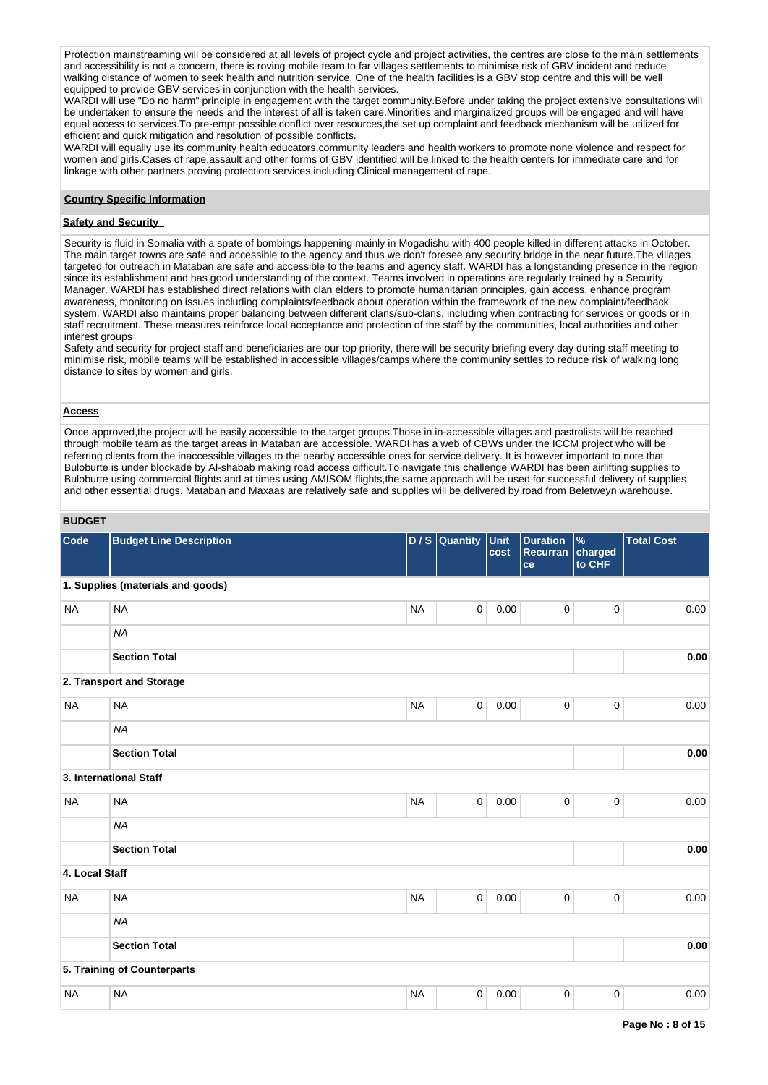Protection mainstreaming will be considered at all levels of project cycle and project activities, the centres are close to the main settlements and accessibility is not a concern, there is roving mobile team to far villages settlements to minimise risk of GBV incident and reduce walking distance of women to seek health and nutrition service. One of the health facilities is a GBV stop centre and this will be well equipped to provide GBV services in conjunction with the health services.

WARDI will use "Do no harm" principle in engagement with the target community.Before under taking the project extensive consultations will be undertaken to ensure the needs and the interest of all is taken care.Minorities and marginalized groups will be engaged and will have equal access to services.To pre-empt possible conflict over resources,the set up complaint and feedback mechanism will be utilized for efficient and quick mitigation and resolution of possible conflicts.

WARDI will equally use its community health educators,community leaders and health workers to promote none violence and respect for women and girls.Cases of rape,assault and other forms of GBV identified will be linked to the health centers for immediate care and for linkage with other partners proving protection services including Clinical management of rape.

#### **Country Specific Information**

#### **Safety and Security**

Security is fluid in Somalia with a spate of bombings happening mainly in Mogadishu with 400 people killed in different attacks in October. The main target towns are safe and accessible to the agency and thus we don't foresee any security bridge in the near future.The villages targeted for outreach in Mataban are safe and accessible to the teams and agency staff. WARDI has a longstanding presence in the region since its establishment and has good understanding of the context. Teams involved in operations are regularly trained by a Security Manager. WARDI has established direct relations with clan elders to promote humanitarian principles, gain access, enhance program awareness, monitoring on issues including complaints/feedback about operation within the framework of the new complaint/feedback system. WARDI also maintains proper balancing between different clans/sub-clans, including when contracting for services or goods or in staff recruitment. These measures reinforce local acceptance and protection of the staff by the communities, local authorities and other interest groups

Safety and security for project staff and beneficiaries are our top priority, there will be security briefing every day during staff meeting to minimise risk, mobile teams will be established in accessible villages/camps where the community settles to reduce risk of walking long distance to sites by women and girls.

#### **Access**

Once approved,the project will be easily accessible to the target groups.Those in in-accessible villages and pastrolists will be reached through mobile team as the target areas in Mataban are accessible. WARDI has a web of CBWs under the ICCM project who will be referring clients from the inaccessible villages to the nearby accessible ones for service delivery. It is however important to note that Buloburte is under blockade by Al-shabab making road access difficult.To navigate this challenge WARDI has been airlifting supplies to Buloburte using commercial flights and at times using AMISOM flights,the same approach will be used for successful delivery of supplies and other essential drugs. Mataban and Maxaas are relatively safe and supplies will be delivered by road from Beletweyn warehouse.

#### **BUDGET**

| Code           | <b>Budget Line Description</b>    |           | D / S Quantity Unit | cost | <b>Duration</b><br>Recurran<br>ce | $\frac{9}{6}$<br>charged<br>to CHF | <b>Total Cost</b> |
|----------------|-----------------------------------|-----------|---------------------|------|-----------------------------------|------------------------------------|-------------------|
|                | 1. Supplies (materials and goods) |           |                     |      |                                   |                                    |                   |
| <b>NA</b>      | <b>NA</b>                         | <b>NA</b> | $\mathsf 0$         | 0.00 | $\pmb{0}$                         | $\pmb{0}$                          | 0.00              |
|                | <b>NA</b>                         |           |                     |      |                                   |                                    |                   |
|                | <b>Section Total</b>              |           |                     |      |                                   |                                    | 0.00              |
|                | 2. Transport and Storage          |           |                     |      |                                   |                                    |                   |
| <b>NA</b>      | <b>NA</b>                         | <b>NA</b> | $\mathbf 0$         | 0.00 | $\pmb{0}$                         | 0                                  | 0.00              |
|                | <b>NA</b>                         |           |                     |      |                                   |                                    |                   |
|                | <b>Section Total</b>              |           |                     |      |                                   |                                    | 0.00              |
|                | 3. International Staff            |           |                     |      |                                   |                                    |                   |
| <b>NA</b>      | <b>NA</b>                         | <b>NA</b> | 0                   | 0.00 | 0                                 | $\pmb{0}$                          | 0.00              |
|                | <b>NA</b>                         |           |                     |      |                                   |                                    |                   |
|                | <b>Section Total</b>              |           |                     |      |                                   |                                    | 0.00              |
| 4. Local Staff |                                   |           |                     |      |                                   |                                    |                   |
| <b>NA</b>      | <b>NA</b>                         | <b>NA</b> | 0                   | 0.00 | 0                                 | 0                                  | 0.00              |
|                | <b>NA</b>                         |           |                     |      |                                   |                                    |                   |
|                | <b>Section Total</b>              |           |                     |      |                                   |                                    | 0.00              |
|                | 5. Training of Counterparts       |           |                     |      |                                   |                                    |                   |
| <b>NA</b>      | <b>NA</b>                         | <b>NA</b> | 0                   | 0.00 | 0                                 | 0                                  | 0.00              |
|                |                                   |           |                     |      |                                   |                                    |                   |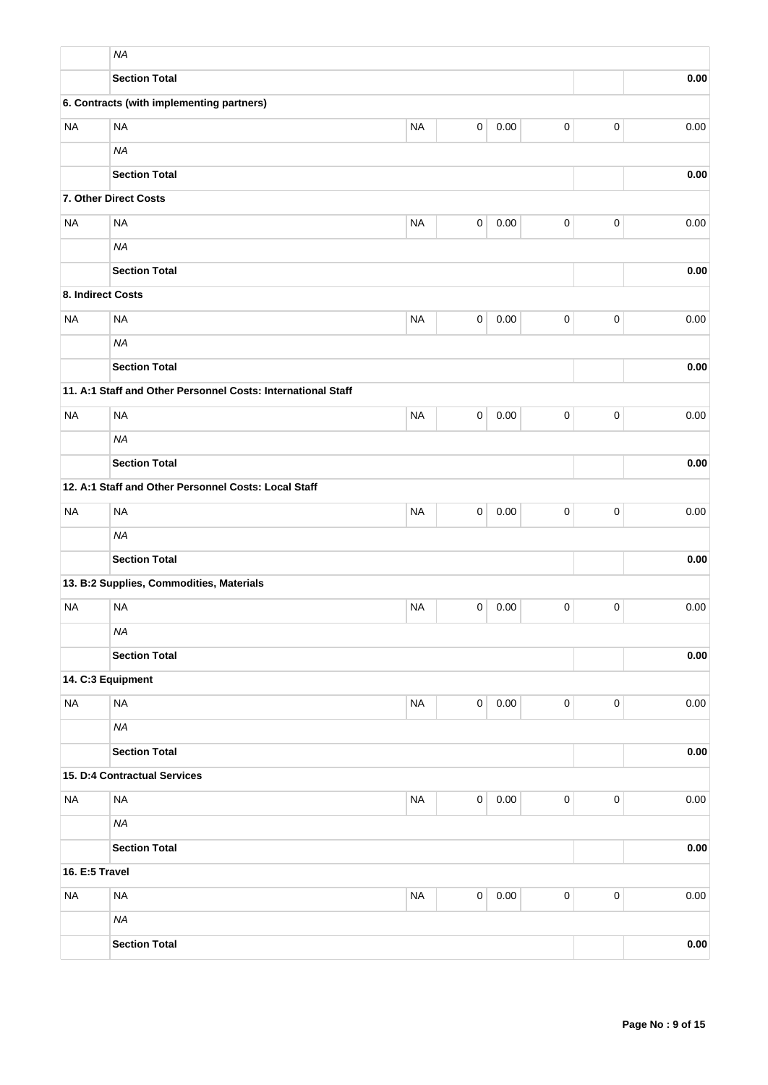|                   | <b>NA</b>                                                    |           |             |          |             |             |          |
|-------------------|--------------------------------------------------------------|-----------|-------------|----------|-------------|-------------|----------|
|                   | <b>Section Total</b>                                         |           |             |          |             |             | 0.00     |
|                   | 6. Contracts (with implementing partners)                    |           |             |          |             |             |          |
| <b>NA</b>         | <b>NA</b>                                                    | <b>NA</b> | 0           | 0.00     | $\pmb{0}$   | $\pmb{0}$   | 0.00     |
|                   | <b>NA</b>                                                    |           |             |          |             |             |          |
|                   | <b>Section Total</b>                                         |           |             |          |             |             | 0.00     |
|                   | 7. Other Direct Costs                                        |           |             |          |             |             |          |
| <b>NA</b>         | <b>NA</b>                                                    | <b>NA</b> | $\pmb{0}$   | 0.00     | $\pmb{0}$   | $\pmb{0}$   | 0.00     |
|                   | <b>NA</b>                                                    |           |             |          |             |             |          |
|                   | <b>Section Total</b>                                         |           |             |          |             |             | 0.00     |
| 8. Indirect Costs |                                                              |           |             |          |             |             |          |
| <b>NA</b>         | <b>NA</b>                                                    | <b>NA</b> | 0           | 0.00     | $\pmb{0}$   | $\mathbf 0$ | 0.00     |
|                   | <b>NA</b>                                                    |           |             |          |             |             |          |
|                   | <b>Section Total</b>                                         |           |             |          |             |             | 0.00     |
|                   | 11. A:1 Staff and Other Personnel Costs: International Staff |           |             |          |             |             |          |
| <b>NA</b>         | <b>NA</b>                                                    | <b>NA</b> | 0           | 0.00     | $\pmb{0}$   | $\mathbf 0$ | 0.00     |
|                   | <b>NA</b>                                                    |           |             |          |             |             |          |
|                   | <b>Section Total</b>                                         |           |             |          |             |             | 0.00     |
|                   | 12. A:1 Staff and Other Personnel Costs: Local Staff         |           |             |          |             |             |          |
| <b>NA</b>         | <b>NA</b>                                                    | <b>NA</b> | 0           | 0.00     | $\pmb{0}$   | $\pmb{0}$   | 0.00     |
|                   | <b>NA</b>                                                    |           |             |          |             |             |          |
|                   | <b>Section Total</b>                                         |           |             |          |             |             | 0.00     |
|                   | 13. B:2 Supplies, Commodities, Materials                     |           |             |          |             |             |          |
| <b>NA</b>         | <b>NA</b>                                                    | <b>NA</b> | 0           | 0.00     | 0           | $\mathbf 0$ | 0.00     |
|                   | <b>NA</b>                                                    |           |             |          |             |             |          |
|                   | <b>Section Total</b>                                         |           |             |          |             |             | 0.00     |
|                   | 14. C:3 Equipment                                            |           |             |          |             |             |          |
| <b>NA</b>         | <b>NA</b>                                                    | <b>NA</b> | $\mathsf 0$ | 0.00     | $\pmb{0}$   | $\pmb{0}$   | 0.00     |
|                   | <b>NA</b>                                                    |           |             |          |             |             |          |
|                   | <b>Section Total</b>                                         |           |             |          |             |             | 0.00     |
|                   | 15. D:4 Contractual Services                                 |           |             |          |             |             |          |
| <b>NA</b>         | <b>NA</b>                                                    | <b>NA</b> | $\mathsf 0$ | $0.00\,$ | $\pmb{0}$   | $\mathbf 0$ | $0.00\,$ |
|                   | <b>NA</b>                                                    |           |             |          |             |             |          |
|                   | <b>Section Total</b>                                         |           |             |          |             |             | 0.00     |
| 16. E:5 Travel    |                                                              |           |             |          |             |             |          |
| <b>NA</b>         | <b>NA</b>                                                    | $\sf NA$  | $\mathsf 0$ | 0.00     | $\mathsf 0$ | $\pmb{0}$   | $0.00\,$ |
|                   | <b>NA</b>                                                    |           |             |          |             |             |          |
|                   | <b>Section Total</b>                                         |           |             |          |             |             | 0.00     |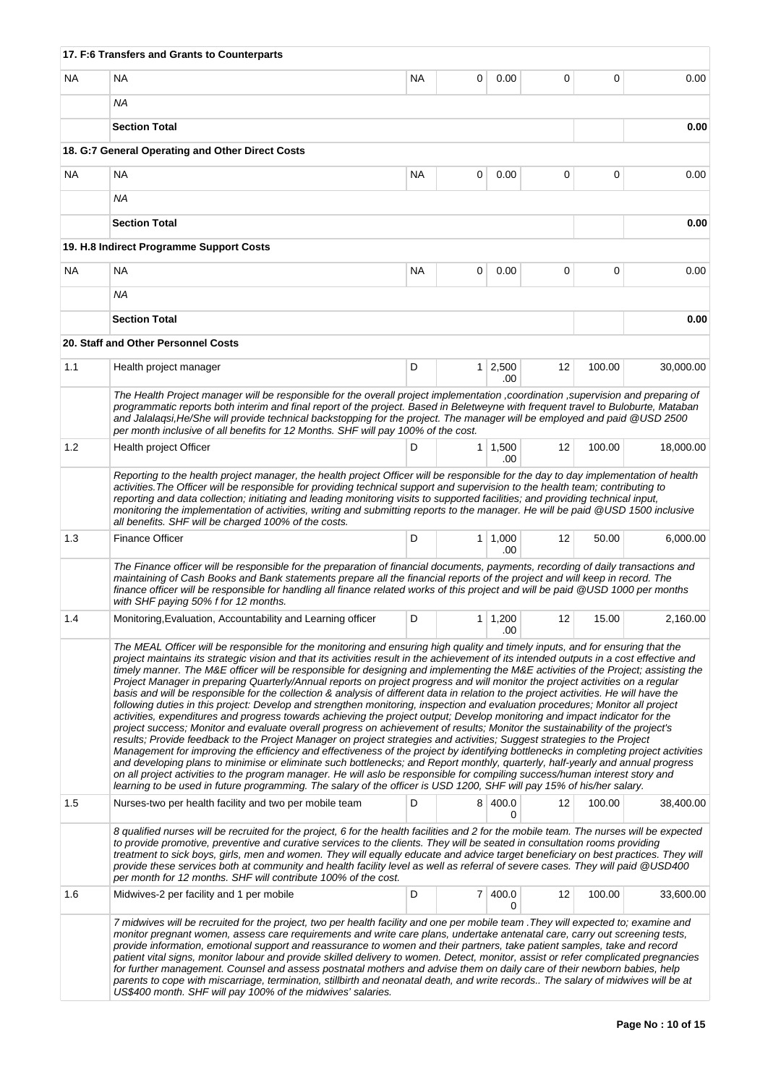|     | 17. F:6 Transfers and Grants to Counterparts                                                                                                                                                                                                                                                                                                                                                                                                                                                                                                                                                                                                                                                                                                                                                                                                                                                                                                                                                                                                                                                                                                                                                                                                                                                                                                                                                                                                                                                                                                                                                                                                                                                                                                                 |           |                |                       |    |        |           |
|-----|--------------------------------------------------------------------------------------------------------------------------------------------------------------------------------------------------------------------------------------------------------------------------------------------------------------------------------------------------------------------------------------------------------------------------------------------------------------------------------------------------------------------------------------------------------------------------------------------------------------------------------------------------------------------------------------------------------------------------------------------------------------------------------------------------------------------------------------------------------------------------------------------------------------------------------------------------------------------------------------------------------------------------------------------------------------------------------------------------------------------------------------------------------------------------------------------------------------------------------------------------------------------------------------------------------------------------------------------------------------------------------------------------------------------------------------------------------------------------------------------------------------------------------------------------------------------------------------------------------------------------------------------------------------------------------------------------------------------------------------------------------------|-----------|----------------|-----------------------|----|--------|-----------|
| NA. | <b>NA</b>                                                                                                                                                                                                                                                                                                                                                                                                                                                                                                                                                                                                                                                                                                                                                                                                                                                                                                                                                                                                                                                                                                                                                                                                                                                                                                                                                                                                                                                                                                                                                                                                                                                                                                                                                    | <b>NA</b> | 0              | 0.00                  | 0  | 0      | 0.00      |
|     | <b>NA</b>                                                                                                                                                                                                                                                                                                                                                                                                                                                                                                                                                                                                                                                                                                                                                                                                                                                                                                                                                                                                                                                                                                                                                                                                                                                                                                                                                                                                                                                                                                                                                                                                                                                                                                                                                    |           |                |                       |    |        |           |
|     | <b>Section Total</b>                                                                                                                                                                                                                                                                                                                                                                                                                                                                                                                                                                                                                                                                                                                                                                                                                                                                                                                                                                                                                                                                                                                                                                                                                                                                                                                                                                                                                                                                                                                                                                                                                                                                                                                                         |           |                |                       |    |        | 0.00      |
|     | 18. G:7 General Operating and Other Direct Costs                                                                                                                                                                                                                                                                                                                                                                                                                                                                                                                                                                                                                                                                                                                                                                                                                                                                                                                                                                                                                                                                                                                                                                                                                                                                                                                                                                                                                                                                                                                                                                                                                                                                                                             |           |                |                       |    |        |           |
| ΝA  | <b>NA</b>                                                                                                                                                                                                                                                                                                                                                                                                                                                                                                                                                                                                                                                                                                                                                                                                                                                                                                                                                                                                                                                                                                                                                                                                                                                                                                                                                                                                                                                                                                                                                                                                                                                                                                                                                    | NA.       | 0              | 0.00                  | 0  | 0      | 0.00      |
|     | ΝA                                                                                                                                                                                                                                                                                                                                                                                                                                                                                                                                                                                                                                                                                                                                                                                                                                                                                                                                                                                                                                                                                                                                                                                                                                                                                                                                                                                                                                                                                                                                                                                                                                                                                                                                                           |           |                |                       |    |        |           |
|     | <b>Section Total</b>                                                                                                                                                                                                                                                                                                                                                                                                                                                                                                                                                                                                                                                                                                                                                                                                                                                                                                                                                                                                                                                                                                                                                                                                                                                                                                                                                                                                                                                                                                                                                                                                                                                                                                                                         |           |                | 0.00                  |    |        |           |
|     | 19. H.8 Indirect Programme Support Costs                                                                                                                                                                                                                                                                                                                                                                                                                                                                                                                                                                                                                                                                                                                                                                                                                                                                                                                                                                                                                                                                                                                                                                                                                                                                                                                                                                                                                                                                                                                                                                                                                                                                                                                     |           |                |                       |    |        |           |
| ΝA  | <b>NA</b>                                                                                                                                                                                                                                                                                                                                                                                                                                                                                                                                                                                                                                                                                                                                                                                                                                                                                                                                                                                                                                                                                                                                                                                                                                                                                                                                                                                                                                                                                                                                                                                                                                                                                                                                                    | <b>NA</b> | 0              | 0.00                  | 0  | 0      | 0.00      |
|     | <b>NA</b>                                                                                                                                                                                                                                                                                                                                                                                                                                                                                                                                                                                                                                                                                                                                                                                                                                                                                                                                                                                                                                                                                                                                                                                                                                                                                                                                                                                                                                                                                                                                                                                                                                                                                                                                                    |           |                |                       |    |        |           |
|     | <b>Section Total</b>                                                                                                                                                                                                                                                                                                                                                                                                                                                                                                                                                                                                                                                                                                                                                                                                                                                                                                                                                                                                                                                                                                                                                                                                                                                                                                                                                                                                                                                                                                                                                                                                                                                                                                                                         |           |                |                       |    |        | 0.00      |
|     | 20. Staff and Other Personnel Costs                                                                                                                                                                                                                                                                                                                                                                                                                                                                                                                                                                                                                                                                                                                                                                                                                                                                                                                                                                                                                                                                                                                                                                                                                                                                                                                                                                                                                                                                                                                                                                                                                                                                                                                          |           |                |                       |    |        |           |
| 1.1 | Health project manager                                                                                                                                                                                                                                                                                                                                                                                                                                                                                                                                                                                                                                                                                                                                                                                                                                                                                                                                                                                                                                                                                                                                                                                                                                                                                                                                                                                                                                                                                                                                                                                                                                                                                                                                       | D         |                | $1 \mid 2,500$        | 12 | 100.00 | 30,000.00 |
|     | The Health Project manager will be responsible for the overall project implementation ,coordination ,supervision and preparing of                                                                                                                                                                                                                                                                                                                                                                                                                                                                                                                                                                                                                                                                                                                                                                                                                                                                                                                                                                                                                                                                                                                                                                                                                                                                                                                                                                                                                                                                                                                                                                                                                            |           |                | .00                   |    |        |           |
|     | programmatic reports both interim and final report of the project. Based in Beletweyne with frequent travel to Buloburte, Mataban<br>and Jalalaqsi, He/She will provide technical backstopping for the project. The manager will be employed and paid @USD 2500                                                                                                                                                                                                                                                                                                                                                                                                                                                                                                                                                                                                                                                                                                                                                                                                                                                                                                                                                                                                                                                                                                                                                                                                                                                                                                                                                                                                                                                                                              |           |                |                       |    |        |           |
|     | per month inclusive of all benefits for 12 Months. SHF will pay 100% of the cost.                                                                                                                                                                                                                                                                                                                                                                                                                                                                                                                                                                                                                                                                                                                                                                                                                                                                                                                                                                                                                                                                                                                                                                                                                                                                                                                                                                                                                                                                                                                                                                                                                                                                            |           |                |                       |    |        |           |
| 1.2 | Health project Officer                                                                                                                                                                                                                                                                                                                                                                                                                                                                                                                                                                                                                                                                                                                                                                                                                                                                                                                                                                                                                                                                                                                                                                                                                                                                                                                                                                                                                                                                                                                                                                                                                                                                                                                                       | D         | 1 <sup>1</sup> | 1,500<br>.00          | 12 | 100.00 | 18,000.00 |
|     | Reporting to the health project manager, the health project Officer will be responsible for the day to day implementation of health<br>activities. The Officer will be responsible for providing technical support and supervision to the health team; contributing to<br>reporting and data collection; initiating and leading monitoring visits to supported facilities; and providing technical input,<br>monitoring the implementation of activities, writing and submitting reports to the manager. He will be paid @USD 1500 inclusive<br>all benefits. SHF will be charged 100% of the costs.                                                                                                                                                                                                                                                                                                                                                                                                                                                                                                                                                                                                                                                                                                                                                                                                                                                                                                                                                                                                                                                                                                                                                         |           |                |                       |    |        |           |
| 1.3 | <b>Finance Officer</b>                                                                                                                                                                                                                                                                                                                                                                                                                                                                                                                                                                                                                                                                                                                                                                                                                                                                                                                                                                                                                                                                                                                                                                                                                                                                                                                                                                                                                                                                                                                                                                                                                                                                                                                                       | D         |                | $1 \mid 1,000$<br>.00 | 12 | 50.00  | 6,000.00  |
|     | The Finance officer will be responsible for the preparation of financial documents, payments, recording of daily transactions and<br>maintaining of Cash Books and Bank statements prepare all the financial reports of the project and will keep in record. The<br>finance officer will be responsible for handling all finance related works of this project and will be paid @USD 1000 per months<br>with SHF paying 50% f for 12 months.                                                                                                                                                                                                                                                                                                                                                                                                                                                                                                                                                                                                                                                                                                                                                                                                                                                                                                                                                                                                                                                                                                                                                                                                                                                                                                                 |           |                |                       |    |        |           |
| 1.4 | Monitoring, Evaluation, Accountability and Learning officer                                                                                                                                                                                                                                                                                                                                                                                                                                                                                                                                                                                                                                                                                                                                                                                                                                                                                                                                                                                                                                                                                                                                                                                                                                                                                                                                                                                                                                                                                                                                                                                                                                                                                                  | D         | 1 <sup>1</sup> | 1,200<br>.00          | 12 | 15.00  | 2,160.00  |
|     | The MEAL Officer will be responsible for the monitoring and ensuring high quality and timely inputs, and for ensuring that the<br>project maintains its strategic vision and that its activities result in the achievement of its intended outputs in a cost effective and<br>timely manner. The M&E officer will be responsible for designing and implementing the M&E activities of the Project; assisting the<br>Project Manager in preparing Quarterly/Annual reports on project progress and will monitor the project activities on a regular<br>basis and will be responsible for the collection & analysis of different data in relation to the project activities. He will have the<br>following duties in this project: Develop and strengthen monitoring, inspection and evaluation procedures; Monitor all project<br>activities, expenditures and progress towards achieving the project output; Develop monitoring and impact indicator for the<br>project success; Monitor and evaluate overall progress on achievement of results; Monitor the sustainability of the project's<br>results; Provide feedback to the Project Manager on project strategies and activities; Suggest strategies to the Project<br>Management for improving the efficiency and effectiveness of the project by identifying bottlenecks in completing project activities<br>and developing plans to minimise or eliminate such bottlenecks; and Report monthly, quarterly, half-yearly and annual progress<br>on all project activities to the program manager. He will aslo be responsible for compiling success/human interest story and<br>learning to be used in future programming. The salary of the officer is USD 1200, SHF will pay 15% of his/her salary. |           |                |                       |    |        |           |
| 1.5 | Nurses-two per health facility and two per mobile team                                                                                                                                                                                                                                                                                                                                                                                                                                                                                                                                                                                                                                                                                                                                                                                                                                                                                                                                                                                                                                                                                                                                                                                                                                                                                                                                                                                                                                                                                                                                                                                                                                                                                                       | D         | 8              | 400.0<br>0            | 12 | 100.00 | 38,400.00 |
|     | 8 qualified nurses will be recruited for the project, 6 for the health facilities and 2 for the mobile team. The nurses will be expected<br>to provide promotive, preventive and curative services to the clients. They will be seated in consultation rooms providing<br>treatment to sick boys, girls, men and women. They will equally educate and advice target beneficiary on best practices. They will<br>provide these services both at community and health facility level as well as referral of severe cases. They will paid @USD400<br>per month for 12 months. SHF will contribute 100% of the cost.                                                                                                                                                                                                                                                                                                                                                                                                                                                                                                                                                                                                                                                                                                                                                                                                                                                                                                                                                                                                                                                                                                                                             |           |                |                       |    |        |           |
| 1.6 | Midwives-2 per facility and 1 per mobile                                                                                                                                                                                                                                                                                                                                                                                                                                                                                                                                                                                                                                                                                                                                                                                                                                                                                                                                                                                                                                                                                                                                                                                                                                                                                                                                                                                                                                                                                                                                                                                                                                                                                                                     | D         |                | 7 400.0<br>$\Omega$   | 12 | 100.00 | 33,600.00 |
|     | 7 midwives will be recruited for the project, two per health facility and one per mobile team . They will expected to; examine and<br>monitor pregnant women, assess care requirements and write care plans, undertake antenatal care, carry out screening tests,<br>provide information, emotional support and reassurance to women and their partners, take patient samples, take and record<br>patient vital signs, monitor labour and provide skilled delivery to women. Detect, monitor, assist or refer complicated pregnancies<br>for further management. Counsel and assess postnatal mothers and advise them on daily care of their newborn babies, help<br>parents to cope with miscarriage, termination, stillbirth and neonatal death, and write records The salary of midwives will be at<br>US\$400 month. SHF will pay 100% of the midwives' salaries.                                                                                                                                                                                                                                                                                                                                                                                                                                                                                                                                                                                                                                                                                                                                                                                                                                                                                        |           |                |                       |    |        |           |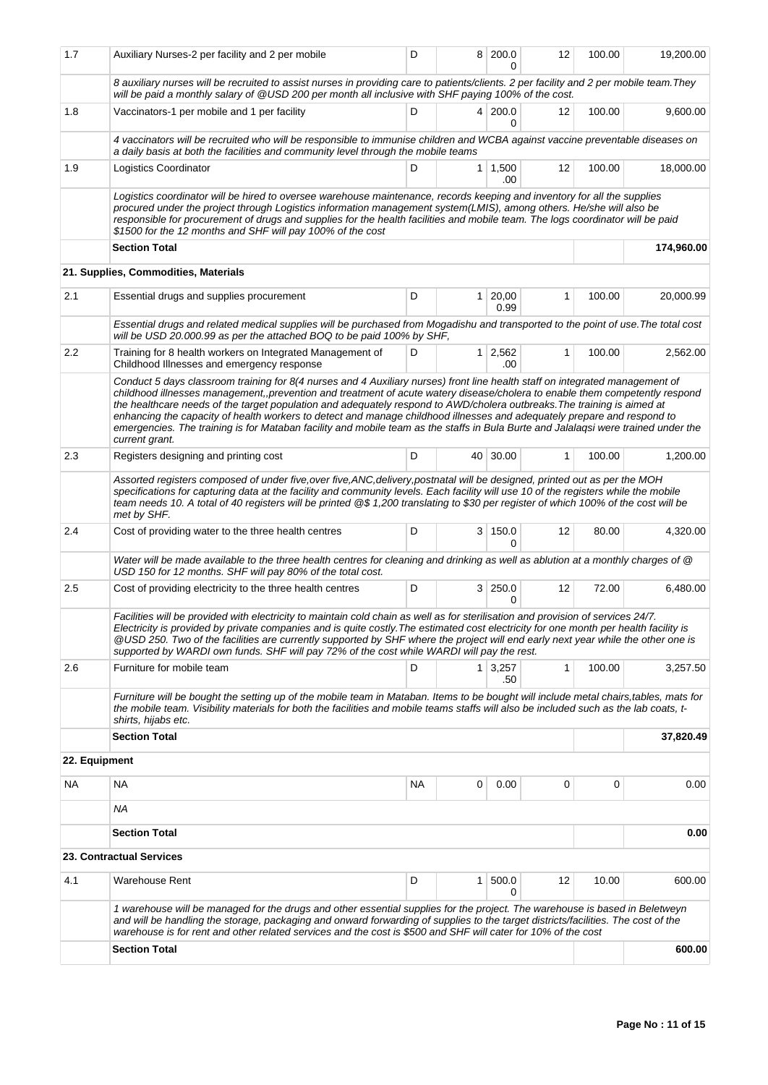| 1.7           | Auxiliary Nurses-2 per facility and 2 per mobile                                                                                                                                                                                                                                                                                                                                                                                                                                                                                                                                                                                                                          | D  |                | 8 200.0<br><sup>0</sup> | 12                | 100.00 | 19,200.00  |  |  |
|---------------|---------------------------------------------------------------------------------------------------------------------------------------------------------------------------------------------------------------------------------------------------------------------------------------------------------------------------------------------------------------------------------------------------------------------------------------------------------------------------------------------------------------------------------------------------------------------------------------------------------------------------------------------------------------------------|----|----------------|-------------------------|-------------------|--------|------------|--|--|
|               | 8 auxiliary nurses will be recruited to assist nurses in providing care to patients/clients. 2 per facility and 2 per mobile team. They<br>will be paid a monthly salary of @USD 200 per month all inclusive with SHF paying 100% of the cost.                                                                                                                                                                                                                                                                                                                                                                                                                            |    |                |                         |                   |        |            |  |  |
| 1.8           | Vaccinators-1 per mobile and 1 per facility                                                                                                                                                                                                                                                                                                                                                                                                                                                                                                                                                                                                                               | D  |                | 4 200.0<br>0            | 12                | 100.00 | 9,600.00   |  |  |
|               | 4 vaccinators will be recruited who will be responsible to immunise children and WCBA against vaccine preventable diseases on<br>a daily basis at both the facilities and community level through the mobile teams                                                                                                                                                                                                                                                                                                                                                                                                                                                        |    |                |                         |                   |        |            |  |  |
| 1.9           | Logistics Coordinator                                                                                                                                                                                                                                                                                                                                                                                                                                                                                                                                                                                                                                                     | D  |                | $1 \mid 1,500$<br>.00   | 12                | 100.00 | 18,000.00  |  |  |
|               | Logistics coordinator will be hired to oversee warehouse maintenance, records keeping and inventory for all the supplies<br>procured under the project through Logistics information management system(LMIS), among others. He/she will also be<br>responsible for procurement of drugs and supplies for the health facilities and mobile team. The logs coordinator will be paid<br>\$1500 for the 12 months and SHF will pay 100% of the cost                                                                                                                                                                                                                           |    |                |                         |                   |        |            |  |  |
|               | <b>Section Total</b>                                                                                                                                                                                                                                                                                                                                                                                                                                                                                                                                                                                                                                                      |    |                |                         |                   |        | 174,960.00 |  |  |
|               | 21. Supplies, Commodities, Materials                                                                                                                                                                                                                                                                                                                                                                                                                                                                                                                                                                                                                                      |    |                |                         |                   |        |            |  |  |
| 2.1           | Essential drugs and supplies procurement                                                                                                                                                                                                                                                                                                                                                                                                                                                                                                                                                                                                                                  | D  | 1 <sup>1</sup> | 20,00<br>0.99           | 1                 | 100.00 | 20,000.99  |  |  |
|               | Essential drugs and related medical supplies will be purchased from Mogadishu and transported to the point of use. The total cost<br>will be USD 20.000.99 as per the attached BOQ to be paid 100% by SHF.                                                                                                                                                                                                                                                                                                                                                                                                                                                                |    |                |                         |                   |        |            |  |  |
| 2.2           | Training for 8 health workers on Integrated Management of<br>Childhood Illnesses and emergency response                                                                                                                                                                                                                                                                                                                                                                                                                                                                                                                                                                   | D  | 1 <sup>1</sup> | 2,562<br>.00            | 1                 | 100.00 | 2,562.00   |  |  |
|               | Conduct 5 days classroom training for 8(4 nurses and 4 Auxiliary nurses) front line health staff on integrated management of<br>childhood illnesses management,,prevention and treatment of acute watery disease/cholera to enable them competently respond<br>the healthcare needs of the target population and adequately respond to AWD/cholera outbreaks. The training is aimed at<br>enhancing the capacity of health workers to detect and manage childhood illnesses and adequately prepare and respond to<br>emergencies. The training is for Mataban facility and mobile team as the staffs in Bula Burte and Jalalagsi were trained under the<br>current grant. |    |                |                         |                   |        |            |  |  |
| 2.3           | Registers designing and printing cost                                                                                                                                                                                                                                                                                                                                                                                                                                                                                                                                                                                                                                     | D  |                | 40 30.00                | $\mathbf{1}$      | 100.00 | 1,200.00   |  |  |
|               | Assorted registers composed of under five, over five, ANC, delivery, postnatal will be designed, printed out as per the MOH<br>specifications for capturing data at the facility and community levels. Each facility will use 10 of the registers while the mobile<br>team needs 10. A total of 40 registers will be printed @\$ 1,200 translating to \$30 per register of which 100% of the cost will be<br>met by SHF.                                                                                                                                                                                                                                                  |    |                |                         |                   |        |            |  |  |
| 2.4           | Cost of providing water to the three health centres                                                                                                                                                                                                                                                                                                                                                                                                                                                                                                                                                                                                                       | D  |                | 3 150.0<br>0            | 12                | 80.00  | 4,320.00   |  |  |
|               | Water will be made available to the three health centres for cleaning and drinking as well as ablution at a monthly charges of @<br>USD 150 for 12 months. SHF will pay 80% of the total cost.                                                                                                                                                                                                                                                                                                                                                                                                                                                                            |    |                |                         |                   |        |            |  |  |
| 2.5           | Cost of providing electricity to the three health centres                                                                                                                                                                                                                                                                                                                                                                                                                                                                                                                                                                                                                 | D  |                | 3 250.0<br>0            | 12                | 72.00  | 6,480.00   |  |  |
|               | Facilities will be provided with electricity to maintain cold chain as well as for sterilisation and provision of services 24/7.<br>Electricity is provided by private companies and is quite costly. The estimated cost electricity for one month per health facility is<br>@USD 250. Two of the facilities are currently supported by SHF where the project will end early next year while the other one is<br>supported by WARDI own funds. SHF will pay 72% of the cost while WARDI will pay the rest.                                                                                                                                                                |    |                |                         |                   |        |            |  |  |
| 2.6           | Furniture for mobile team                                                                                                                                                                                                                                                                                                                                                                                                                                                                                                                                                                                                                                                 | D  | 1 <sup>1</sup> | 3,257<br>.50            | $\mathbf{1}$      | 100.00 | 3,257.50   |  |  |
|               | Furniture will be bought the setting up of the mobile team in Mataban. Items to be bought will include metal chairs,tables, mats for<br>the mobile team. Visibility materials for both the facilities and mobile teams staffs will also be included such as the lab coats, t-<br>shirts, hijabs etc.                                                                                                                                                                                                                                                                                                                                                                      |    |                |                         |                   |        |            |  |  |
|               | <b>Section Total</b>                                                                                                                                                                                                                                                                                                                                                                                                                                                                                                                                                                                                                                                      |    |                |                         |                   |        | 37,820.49  |  |  |
| 22. Equipment |                                                                                                                                                                                                                                                                                                                                                                                                                                                                                                                                                                                                                                                                           |    |                |                         |                   |        |            |  |  |
| NA            | NA                                                                                                                                                                                                                                                                                                                                                                                                                                                                                                                                                                                                                                                                        | NA | 0              | 0.00                    | 0                 | 0      | 0.00       |  |  |
|               | ΝA                                                                                                                                                                                                                                                                                                                                                                                                                                                                                                                                                                                                                                                                        |    |                |                         |                   |        |            |  |  |
|               | <b>Section Total</b>                                                                                                                                                                                                                                                                                                                                                                                                                                                                                                                                                                                                                                                      |    |                |                         |                   |        | 0.00       |  |  |
|               | 23. Contractual Services                                                                                                                                                                                                                                                                                                                                                                                                                                                                                                                                                                                                                                                  |    |                |                         |                   |        |            |  |  |
| 4.1           | <b>Warehouse Rent</b>                                                                                                                                                                                                                                                                                                                                                                                                                                                                                                                                                                                                                                                     | D  | 1              | 500.0<br>0              | $12 \overline{ }$ | 10.00  | 600.00     |  |  |
|               | 1 warehouse will be managed for the drugs and other essential supplies for the project. The warehouse is based in Beletweyn<br>and will be handling the storage, packaging and onward forwarding of supplies to the target districts/facilities. The cost of the<br>warehouse is for rent and other related services and the cost is \$500 and SHF will cater for 10% of the cost                                                                                                                                                                                                                                                                                         |    |                |                         |                   |        |            |  |  |
|               | <b>Section Total</b>                                                                                                                                                                                                                                                                                                                                                                                                                                                                                                                                                                                                                                                      |    |                |                         |                   |        | 600.00     |  |  |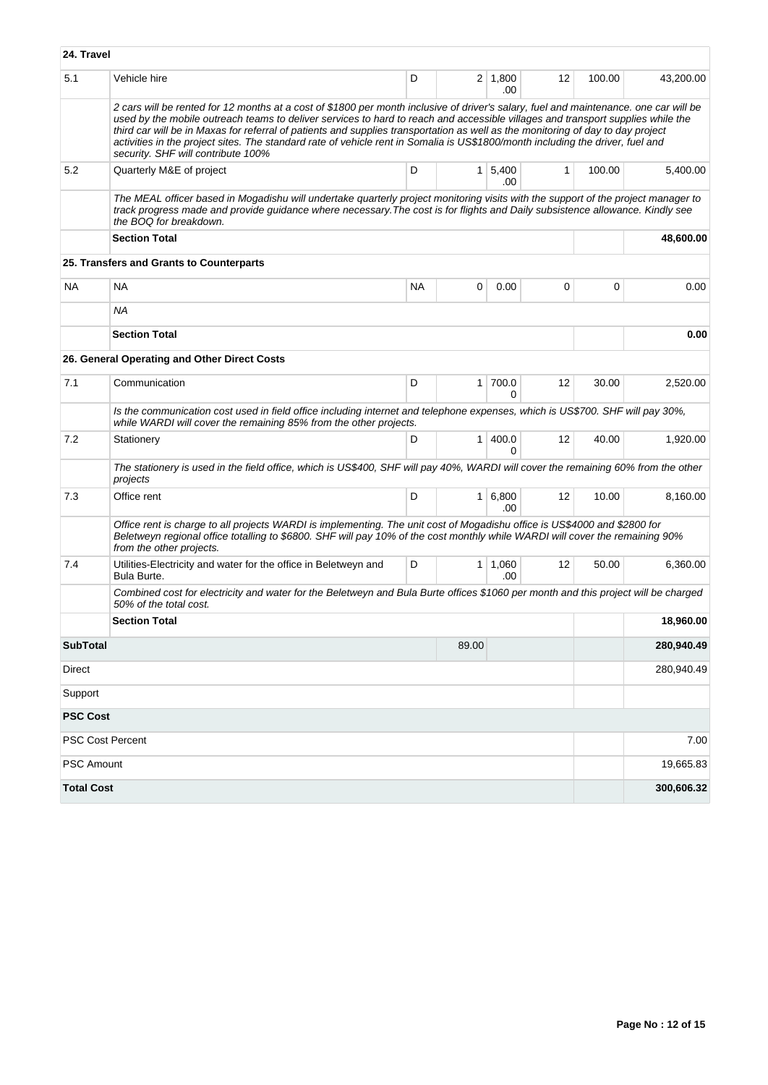| 24. Travel        |                                                                                                                                                                                                                                                                                                                                                                                                                                                                                                                                                                                     |    |                |                        |              |        |            |
|-------------------|-------------------------------------------------------------------------------------------------------------------------------------------------------------------------------------------------------------------------------------------------------------------------------------------------------------------------------------------------------------------------------------------------------------------------------------------------------------------------------------------------------------------------------------------------------------------------------------|----|----------------|------------------------|--------------|--------|------------|
| 5.1               | Vehicle hire                                                                                                                                                                                                                                                                                                                                                                                                                                                                                                                                                                        | D  |                | $2 \mid 1,800$<br>.00  | 12           | 100.00 | 43,200.00  |
|                   | 2 cars will be rented for 12 months at a cost of \$1800 per month inclusive of driver's salary, fuel and maintenance. one car will be<br>used by the mobile outreach teams to deliver services to hard to reach and accessible villages and transport supplies while the<br>third car will be in Maxas for referral of patients and supplies transportation as well as the monitoring of day to day project<br>activities in the project sites. The standard rate of vehicle rent in Somalia is US\$1800/month including the driver, fuel and<br>security. SHF will contribute 100% |    |                |                        |              |        |            |
| 5.2               | Quarterly M&E of project                                                                                                                                                                                                                                                                                                                                                                                                                                                                                                                                                            | D  |                | $1 \mid 5,400$<br>.00  | $\mathbf{1}$ | 100.00 | 5,400.00   |
|                   | The MEAL officer based in Mogadishu will undertake quarterly project monitoring visits with the support of the project manager to<br>track progress made and provide quidance where necessary. The cost is for flights and Daily subsistence allowance. Kindly see<br>the BOQ for breakdown.                                                                                                                                                                                                                                                                                        |    |                |                        |              |        |            |
|                   | <b>Section Total</b>                                                                                                                                                                                                                                                                                                                                                                                                                                                                                                                                                                |    |                |                        |              |        | 48,600.00  |
|                   | 25. Transfers and Grants to Counterparts                                                                                                                                                                                                                                                                                                                                                                                                                                                                                                                                            |    |                |                        |              |        |            |
| <b>NA</b>         | <b>NA</b>                                                                                                                                                                                                                                                                                                                                                                                                                                                                                                                                                                           | NA | 0              | 0.00                   | 0            | 0      | 0.00       |
|                   | ΝA                                                                                                                                                                                                                                                                                                                                                                                                                                                                                                                                                                                  |    |                |                        |              |        |            |
|                   | <b>Section Total</b>                                                                                                                                                                                                                                                                                                                                                                                                                                                                                                                                                                |    |                |                        |              |        | 0.00       |
|                   | 26. General Operating and Other Direct Costs                                                                                                                                                                                                                                                                                                                                                                                                                                                                                                                                        |    |                |                        |              |        |            |
| 7.1               | Communication                                                                                                                                                                                                                                                                                                                                                                                                                                                                                                                                                                       | D  | 1 <sup>1</sup> | 700.0<br>0             | 12           | 30.00  | 2,520.00   |
|                   | Is the communication cost used in field office including internet and telephone expenses, which is US\$700. SHF will pay 30%,<br>while WARDI will cover the remaining 85% from the other projects.                                                                                                                                                                                                                                                                                                                                                                                  |    |                |                        |              |        |            |
| 7.2               | Stationery                                                                                                                                                                                                                                                                                                                                                                                                                                                                                                                                                                          | D  |                | 1   400.0<br>0         | 12           | 40.00  | 1,920.00   |
|                   | The stationery is used in the field office, which is US\$400, SHF will pay 40%, WARDI will cover the remaining 60% from the other<br>projects                                                                                                                                                                                                                                                                                                                                                                                                                                       |    |                |                        |              |        |            |
| 7.3               | Office rent                                                                                                                                                                                                                                                                                                                                                                                                                                                                                                                                                                         | D  | 1 <sup>1</sup> | 6,800<br>.00           | 12           | 10.00  | 8,160.00   |
|                   | Office rent is charge to all projects WARDI is implementing. The unit cost of Mogadishu office is US\$4000 and \$2800 for<br>Beletweyn regional office totalling to \$6800. SHF will pay 10% of the cost monthly while WARDI will cover the remaining 90%<br>from the other projects.                                                                                                                                                                                                                                                                                               |    |                |                        |              |        |            |
| 7.4               | Utilities-Electricity and water for the office in Beletweyn and<br>Bula Burte.                                                                                                                                                                                                                                                                                                                                                                                                                                                                                                      | D  |                | $1 \mid 1,060$<br>.00. | 12           | 50.00  | 6,360.00   |
|                   | Combined cost for electricity and water for the Beletweyn and Bula Burte offices \$1060 per month and this project will be charged<br>50% of the total cost.                                                                                                                                                                                                                                                                                                                                                                                                                        |    |                |                        |              |        |            |
|                   | <b>Section Total</b>                                                                                                                                                                                                                                                                                                                                                                                                                                                                                                                                                                |    |                |                        |              |        | 18,960.00  |
| <b>SubTotal</b>   |                                                                                                                                                                                                                                                                                                                                                                                                                                                                                                                                                                                     |    | 89.00          |                        |              |        | 280,940.49 |
| Direct            |                                                                                                                                                                                                                                                                                                                                                                                                                                                                                                                                                                                     |    |                |                        |              |        | 280,940.49 |
| Support           |                                                                                                                                                                                                                                                                                                                                                                                                                                                                                                                                                                                     |    |                |                        |              |        |            |
| <b>PSC Cost</b>   |                                                                                                                                                                                                                                                                                                                                                                                                                                                                                                                                                                                     |    |                |                        |              |        |            |
|                   | PSC Cost Percent                                                                                                                                                                                                                                                                                                                                                                                                                                                                                                                                                                    |    |                |                        |              |        | 7.00       |
| PSC Amount        |                                                                                                                                                                                                                                                                                                                                                                                                                                                                                                                                                                                     |    |                |                        |              |        | 19,665.83  |
| <b>Total Cost</b> |                                                                                                                                                                                                                                                                                                                                                                                                                                                                                                                                                                                     |    |                |                        |              |        | 300,606.32 |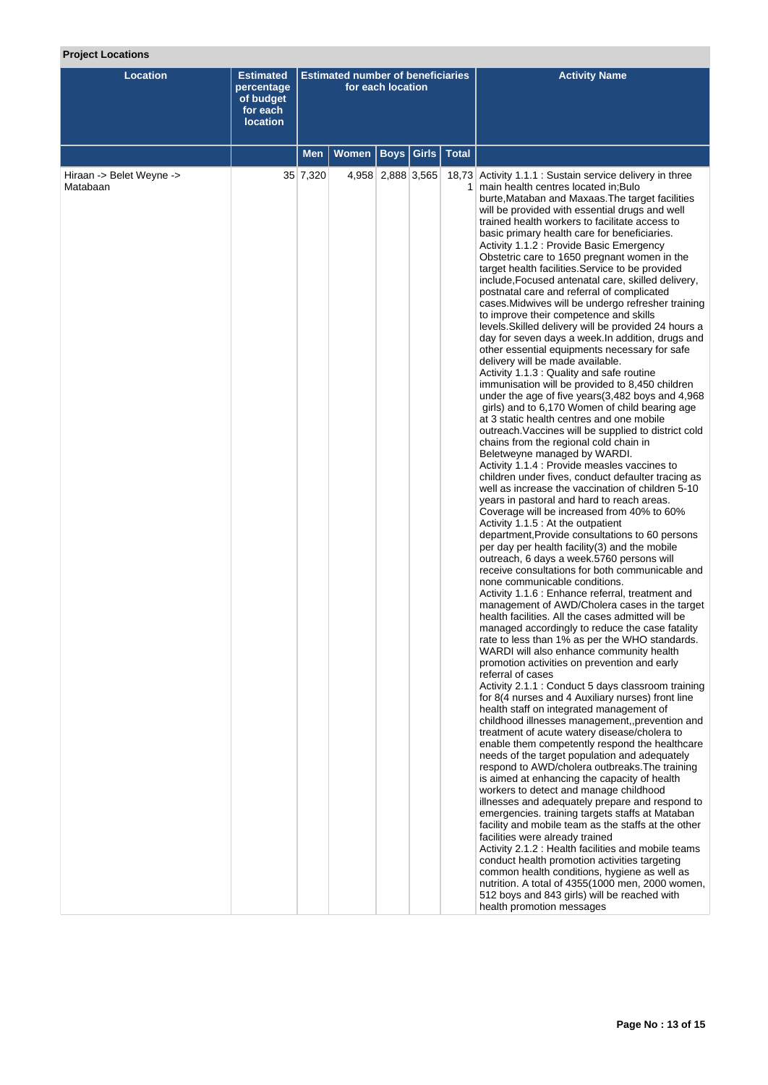# **Project Locations**

| <b>Location</b>                      | <b>Estimated</b><br>percentage<br>of budget<br>for each<br><b>location</b> | <b>Estimated number of beneficiaries</b><br>for each location |              |                   |              |              | <b>Activity Name</b>                                                                                                                                                                                                                                                                                                                                                                                                                                                                                                                                                                                                                                                                                                                                                                                                                                                                                                                                                                                                                                                                                                                                                                                                                                                                                                                                                                                                                                                                                                                                                                                                                                                                                                                                                                                                                                                                                                                                                                                                                                                                                                                                                                                                                                                                                                                                                                                                                                                                                                                                                                                                                                                                                                                                                                                                                                                                                                                                                                                                                                                                                                                                                      |
|--------------------------------------|----------------------------------------------------------------------------|---------------------------------------------------------------|--------------|-------------------|--------------|--------------|---------------------------------------------------------------------------------------------------------------------------------------------------------------------------------------------------------------------------------------------------------------------------------------------------------------------------------------------------------------------------------------------------------------------------------------------------------------------------------------------------------------------------------------------------------------------------------------------------------------------------------------------------------------------------------------------------------------------------------------------------------------------------------------------------------------------------------------------------------------------------------------------------------------------------------------------------------------------------------------------------------------------------------------------------------------------------------------------------------------------------------------------------------------------------------------------------------------------------------------------------------------------------------------------------------------------------------------------------------------------------------------------------------------------------------------------------------------------------------------------------------------------------------------------------------------------------------------------------------------------------------------------------------------------------------------------------------------------------------------------------------------------------------------------------------------------------------------------------------------------------------------------------------------------------------------------------------------------------------------------------------------------------------------------------------------------------------------------------------------------------------------------------------------------------------------------------------------------------------------------------------------------------------------------------------------------------------------------------------------------------------------------------------------------------------------------------------------------------------------------------------------------------------------------------------------------------------------------------------------------------------------------------------------------------------------------------------------------------------------------------------------------------------------------------------------------------------------------------------------------------------------------------------------------------------------------------------------------------------------------------------------------------------------------------------------------------------------------------------------------------------------------------------------------------|
|                                      |                                                                            | Men                                                           | <b>Women</b> |                   | Boys   Girls | <b>Total</b> |                                                                                                                                                                                                                                                                                                                                                                                                                                                                                                                                                                                                                                                                                                                                                                                                                                                                                                                                                                                                                                                                                                                                                                                                                                                                                                                                                                                                                                                                                                                                                                                                                                                                                                                                                                                                                                                                                                                                                                                                                                                                                                                                                                                                                                                                                                                                                                                                                                                                                                                                                                                                                                                                                                                                                                                                                                                                                                                                                                                                                                                                                                                                                                           |
| Hiraan -> Belet Weyne -><br>Matabaan |                                                                            | 35 7,320                                                      |              | 4,958 2,888 3,565 |              |              | 18,73 Activity 1.1.1 : Sustain service delivery in three<br>1 main health centres located in; Bulo<br>burte, Mataban and Maxaas. The target facilities<br>will be provided with essential drugs and well<br>trained health workers to facilitate access to<br>basic primary health care for beneficiaries.<br>Activity 1.1.2 : Provide Basic Emergency<br>Obstetric care to 1650 pregnant women in the<br>target health facilities. Service to be provided<br>include, Focused antenatal care, skilled delivery,<br>postnatal care and referral of complicated<br>cases. Midwives will be undergo refresher training<br>to improve their competence and skills<br>levels. Skilled delivery will be provided 24 hours a<br>day for seven days a week. In addition, drugs and<br>other essential equipments necessary for safe<br>delivery will be made available.<br>Activity 1.1.3 : Quality and safe routine<br>immunisation will be provided to 8,450 children<br>under the age of five years (3,482 boys and 4,968<br>girls) and to 6,170 Women of child bearing age<br>at 3 static health centres and one mobile<br>outreach. Vaccines will be supplied to district cold<br>chains from the regional cold chain in<br>Beletweyne managed by WARDI.<br>Activity 1.1.4 : Provide measles vaccines to<br>children under fives, conduct defaulter tracing as<br>well as increase the vaccination of children 5-10<br>years in pastoral and hard to reach areas.<br>Coverage will be increased from 40% to 60%<br>Activity 1.1.5 : At the outpatient<br>department, Provide consultations to 60 persons<br>per day per health facility(3) and the mobile<br>outreach, 6 days a week.5760 persons will<br>receive consultations for both communicable and<br>none communicable conditions.<br>Activity 1.1.6 : Enhance referral, treatment and<br>management of AWD/Cholera cases in the target<br>health facilities. All the cases admitted will be<br>managed accordingly to reduce the case fatality<br>rate to less than 1% as per the WHO standards.<br>WARDI will also enhance community health<br>promotion activities on prevention and early<br>referral of cases<br>Activity 2.1.1 : Conduct 5 days classroom training<br>for 8(4 nurses and 4 Auxiliary nurses) front line<br>health staff on integrated management of<br>childhood illnesses management, prevention and<br>treatment of acute watery disease/cholera to<br>enable them competently respond the healthcare<br>needs of the target population and adequately<br>respond to AWD/cholera outbreaks. The training<br>is aimed at enhancing the capacity of health<br>workers to detect and manage childhood<br>illnesses and adequately prepare and respond to<br>emergencies. training targets staffs at Mataban<br>facility and mobile team as the staffs at the other<br>facilities were already trained<br>Activity 2.1.2 : Health facilities and mobile teams<br>conduct health promotion activities targeting<br>common health conditions, hygiene as well as<br>nutrition. A total of 4355(1000 men, 2000 women,<br>512 boys and 843 girls) will be reached with<br>health promotion messages |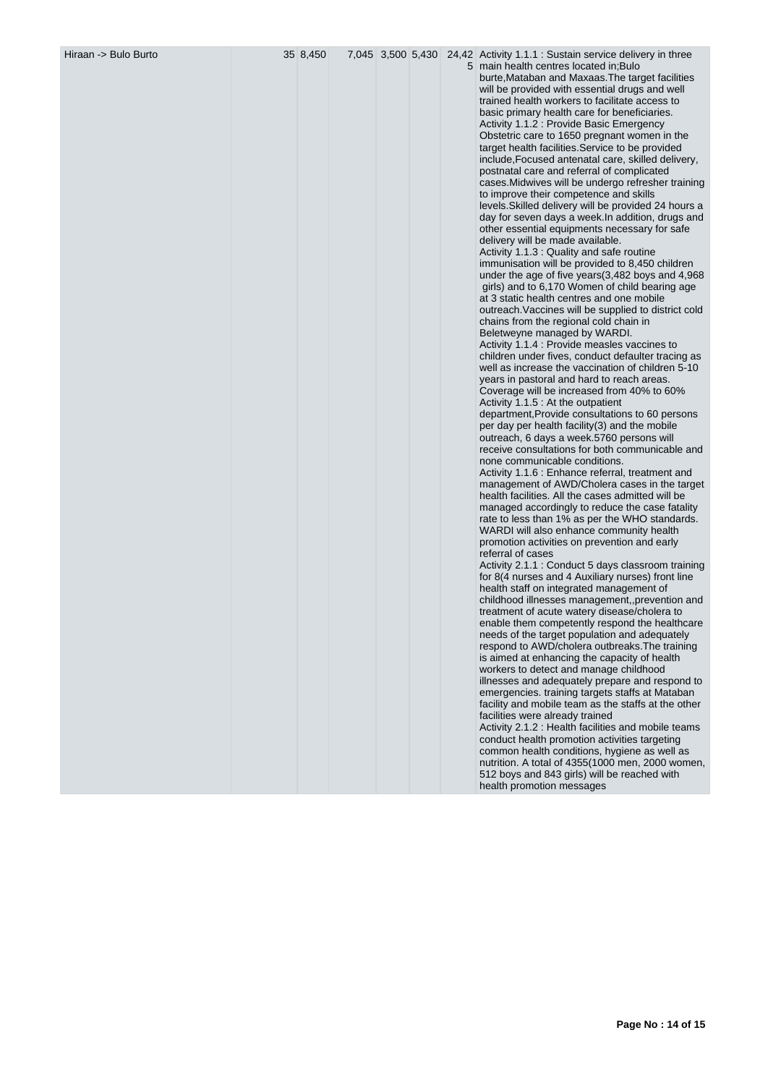Hiraan -> Bulo Burto 35 8,450 7,045 3,500 5,430 24,42 Activity 1.1.1 : Sustain service delivery in three

5 main health centres located in;Bulo burte,Mataban and Maxaas.The target facilities will be provided with essential drugs and well trained health workers to facilitate access to basic primary health care for beneficiaries. Activity 1.1.2 : Provide Basic Emergency Obstetric care to 1650 pregnant women in the target health facilities.Service to be provided include,Focused antenatal care, skilled delivery, postnatal care and referral of complicated cases.Midwives will be undergo refresher training to improve their competence and skills levels.Skilled delivery will be provided 24 hours a day for seven days a week.In addition, drugs and other essential equipments necessary for safe delivery will be made available. Activity 1.1.3 : Quality and safe routine immunisation will be provided to 8,450 children under the age of five years(3,482 boys and 4,968 girls) and to 6,170 Women of child bearing age at 3 static health centres and one mobile outreach.Vaccines will be supplied to district cold chains from the regional cold chain in Beletweyne managed by WARDI. Activity 1.1.4 : Provide measles vaccines to children under fives, conduct defaulter tracing as well as increase the vaccination of children 5-10 years in pastoral and hard to reach areas. Coverage will be increased from 40% to 60% Activity 1.1.5 : At the outpatient department,Provide consultations to 60 persons per day per health facility(3) and the mobile outreach, 6 days a week.5760 persons will receive consultations for both communicable and none communicable conditions. Activity 1.1.6 : Enhance referral, treatment and management of AWD/Cholera cases in the target health facilities. All the cases admitted will be managed accordingly to reduce the case fatality rate to less than 1% as per the WHO standards. WARDI will also enhance community health promotion activities on prevention and early referral of cases Activity 2.1.1 : Conduct 5 days classroom training for 8(4 nurses and 4 Auxiliary nurses) front line health staff on integrated management of childhood illnesses management,,prevention and treatment of acute watery disease/cholera to enable them competently respond the healthcare needs of the target population and adequately respond to AWD/cholera outbreaks.The training is aimed at enhancing the capacity of health workers to detect and manage childhood illnesses and adequately prepare and respond to emergencies. training targets staffs at Mataban facility and mobile team as the staffs at the other facilities were already trained Activity 2.1.2 : Health facilities and mobile teams conduct health promotion activities targeting common health conditions, hygiene as well as nutrition. A total of 4355(1000 men, 2000 women, 512 boys and 843 girls) will be reached with health promotion messages